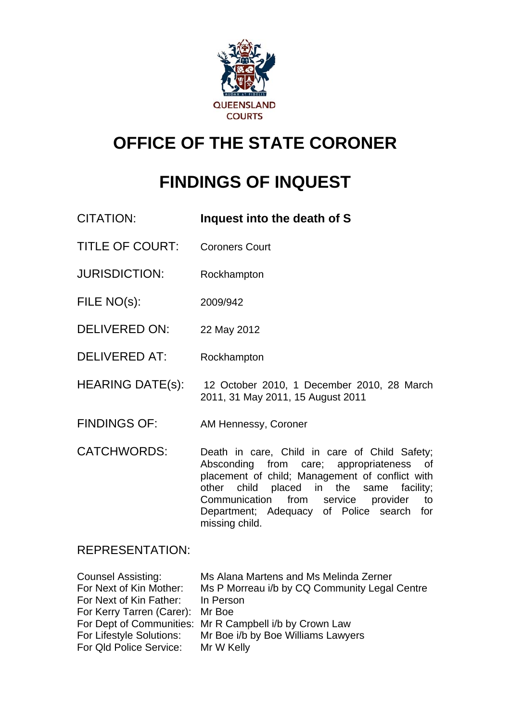

# **OFFICE OF THE STATE CORONER**

# **FINDINGS OF INQUEST**

CITATION: **Inquest into the death of S** 

- TITLE OF COURT: Coroners Court
- JURISDICTION: Rockhampton
- FILE NO(s): 2009/942
- DELIVERED ON: 22 May 2012
- DELIVERED AT: Rockhampton
- HEARING DATE(s): 12 October 2010, 1 December 2010, 28 March 2011, 31 May 2011, 15 August 2011
- FINDINGS OF: AM Hennessy, Coroner
- CATCHWORDS: Death in care, Child in care of Child Safety; Absconding from care; appropriateness of placement of child; Management of conflict with other child placed in the same facility; Communication from service provider to Department; Adequacy of Police search for missing child.

# REPRESENTATION:

| <b>Counsel Assisting:</b>         | Ms Alana Martens and Ms Melinda Zerner                  |
|-----------------------------------|---------------------------------------------------------|
| For Next of Kin Mother:           | Ms P Morreau i/b by CQ Community Legal Centre           |
| For Next of Kin Father: In Person |                                                         |
| For Kerry Tarren (Carer): Mr Boe  |                                                         |
|                                   | For Dept of Communities: Mr R Campbell i/b by Crown Law |
| For Lifestyle Solutions:          | Mr Boe i/b by Boe Williams Lawyers                      |
| For Qld Police Service:           | Mr W Kelly                                              |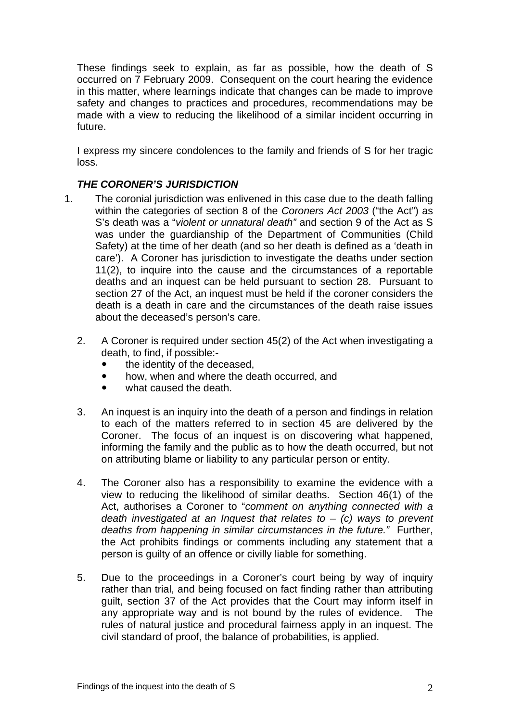These findings seek to explain, as far as possible, how the death of S occurred on 7 February 2009. Consequent on the court hearing the evidence in this matter, where learnings indicate that changes can be made to improve safety and changes to practices and procedures, recommendations may be made with a view to reducing the likelihood of a similar incident occurring in future.

I express my sincere condolences to the family and friends of S for her tragic loss.

## *THE CORONER'S JURISDICTION*

- 1. The coronial jurisdiction was enlivened in this case due to the death falling within the categories of section 8 of the *Coroners Act 2003* ("the Act") as S's death was a "*violent or unnatural death"* and section 9 of the Act as S was under the guardianship of the Department of Communities (Child Safety) at the time of her death (and so her death is defined as a 'death in care'). A Coroner has jurisdiction to investigate the deaths under section 11(2), to inquire into the cause and the circumstances of a reportable deaths and an inquest can be held pursuant to section 28. Pursuant to section 27 of the Act, an inquest must be held if the coroner considers the death is a death in care and the circumstances of the death raise issues about the deceased's person's care.
	- 2. A Coroner is required under section 45(2) of the Act when investigating a death, to find, if possible:-
		- the identity of the deceased,
		- how, when and where the death occurred, and
		- what caused the death.
	- 3. An inquest is an inquiry into the death of a person and findings in relation to each of the matters referred to in section 45 are delivered by the Coroner. The focus of an inquest is on discovering what happened, informing the family and the public as to how the death occurred, but not on attributing blame or liability to any particular person or entity.
	- 4. The Coroner also has a responsibility to examine the evidence with a view to reducing the likelihood of similar deaths. Section 46(1) of the Act, authorises a Coroner to "*comment on anything connected with a death investigated at an Inquest that relates to* – *(c) ways to prevent deaths from happening in similar circumstances in the future."* Further, the Act prohibits findings or comments including any statement that a person is guilty of an offence or civilly liable for something.
	- 5. Due to the proceedings in a Coroner's court being by way of inquiry rather than trial, and being focused on fact finding rather than attributing guilt, section 37 of the Act provides that the Court may inform itself in any appropriate way and is not bound by the rules of evidence. The rules of natural justice and procedural fairness apply in an inquest. The civil standard of proof, the balance of probabilities, is applied.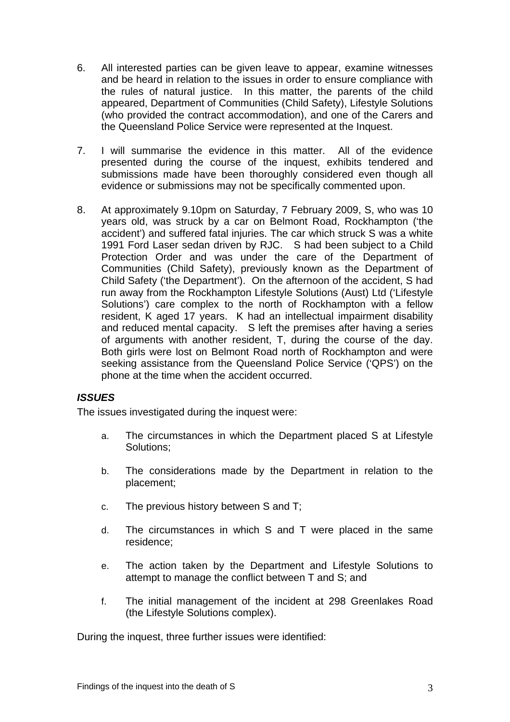- 6. All interested parties can be given leave to appear, examine witnesses and be heard in relation to the issues in order to ensure compliance with the rules of natural justice. In this matter, the parents of the child appeared, Department of Communities (Child Safety), Lifestyle Solutions (who provided the contract accommodation), and one of the Carers and the Queensland Police Service were represented at the Inquest.
- 7. I will summarise the evidence in this matter. All of the evidence presented during the course of the inquest, exhibits tendered and submissions made have been thoroughly considered even though all evidence or submissions may not be specifically commented upon.
- 8. At approximately 9.10pm on Saturday, 7 February 2009, S, who was 10 years old, was struck by a car on Belmont Road, Rockhampton ('the accident') and suffered fatal injuries. The car which struck S was a white 1991 Ford Laser sedan driven by RJC. S had been subject to a Child Protection Order and was under the care of the Department of Communities (Child Safety), previously known as the Department of Child Safety ('the Department'). On the afternoon of the accident, S had run away from the Rockhampton Lifestyle Solutions (Aust) Ltd ('Lifestyle Solutions') care complex to the north of Rockhampton with a fellow resident, K aged 17 years. K had an intellectual impairment disability and reduced mental capacity. S left the premises after having a series of arguments with another resident, T, during the course of the day. Both girls were lost on Belmont Road north of Rockhampton and were seeking assistance from the Queensland Police Service ('QPS') on the phone at the time when the accident occurred.

### *ISSUES*

The issues investigated during the inquest were:

- a. The circumstances in which the Department placed S at Lifestyle Solutions;
- b. The considerations made by the Department in relation to the placement;
- c. The previous history between S and T;
- d. The circumstances in which S and T were placed in the same residence;
- e. The action taken by the Department and Lifestyle Solutions to attempt to manage the conflict between T and S; and
- f. The initial management of the incident at 298 Greenlakes Road (the Lifestyle Solutions complex).

During the inquest, three further issues were identified: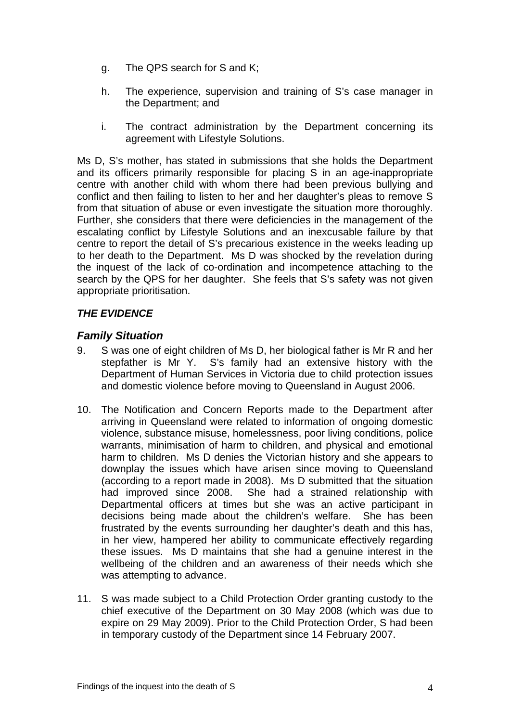- g. The QPS search for S and K;
- h. The experience, supervision and training of S's case manager in the Department; and
- i. The contract administration by the Department concerning its agreement with Lifestyle Solutions.

Ms D, S's mother, has stated in submissions that she holds the Department and its officers primarily responsible for placing S in an age-inappropriate centre with another child with whom there had been previous bullying and conflict and then failing to listen to her and her daughter's pleas to remove S from that situation of abuse or even investigate the situation more thoroughly. Further, she considers that there were deficiencies in the management of the escalating conflict by Lifestyle Solutions and an inexcusable failure by that centre to report the detail of S's precarious existence in the weeks leading up to her death to the Department. Ms D was shocked by the revelation during the inquest of the lack of co-ordination and incompetence attaching to the search by the QPS for her daughter. She feels that S's safety was not given appropriate prioritisation.

# *THE EVIDENCE*

# *Family Situation*

- 9. S was one of eight children of Ms D, her biological father is Mr R and her stepfather is Mr Y. S's family had an extensive history with the Department of Human Services in Victoria due to child protection issues and domestic violence before moving to Queensland in August 2006.
- 10. The Notification and Concern Reports made to the Department after arriving in Queensland were related to information of ongoing domestic violence, substance misuse, homelessness, poor living conditions, police warrants, minimisation of harm to children, and physical and emotional harm to children. Ms D denies the Victorian history and she appears to downplay the issues which have arisen since moving to Queensland (according to a report made in 2008). Ms D submitted that the situation had improved since 2008. She had a strained relationship with Departmental officers at times but she was an active participant in decisions being made about the children's welfare. She has been frustrated by the events surrounding her daughter's death and this has, in her view, hampered her ability to communicate effectively regarding these issues. Ms D maintains that she had a genuine interest in the wellbeing of the children and an awareness of their needs which she was attempting to advance.
- 11. S was made subject to a Child Protection Order granting custody to the chief executive of the Department on 30 May 2008 (which was due to expire on 29 May 2009). Prior to the Child Protection Order, S had been in temporary custody of the Department since 14 February 2007.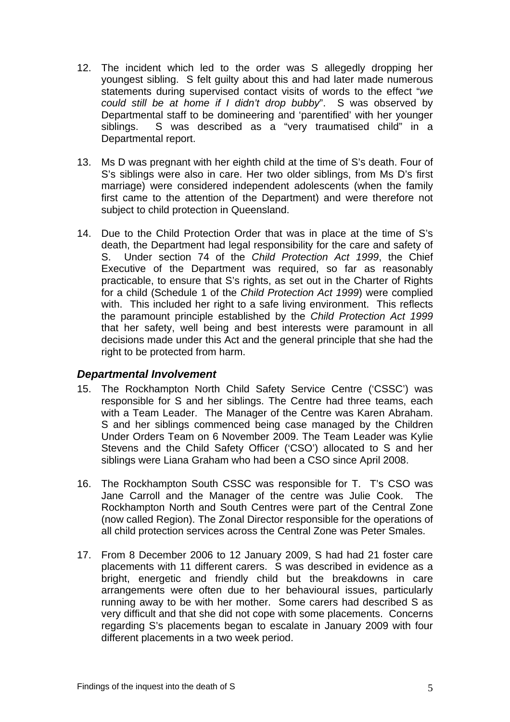- 12. The incident which led to the order was S allegedly dropping her youngest sibling. S felt guilty about this and had later made numerous statements during supervised contact visits of words to the effect "*we could still be at home if I didn't drop bubby*". S was observed by Departmental staff to be domineering and 'parentified' with her younger siblings. S was described as a "very traumatised child" in a Departmental report.
- 13. Ms D was pregnant with her eighth child at the time of S's death. Four of S's siblings were also in care. Her two older siblings, from Ms D's first marriage) were considered independent adolescents (when the family first came to the attention of the Department) and were therefore not subject to child protection in Queensland.
- 14. Due to the Child Protection Order that was in place at the time of S's death, the Department had legal responsibility for the care and safety of S. Under section 74 of the *Child Protection Act 1999*, the Chief Executive of the Department was required, so far as reasonably practicable, to ensure that S's rights, as set out in the Charter of Rights for a child (Schedule 1 of the *Child Protection Act 1999*) were complied with. This included her right to a safe living environment. This reflects the paramount principle established by the *Child Protection Act 1999* that her safety, well being and best interests were paramount in all decisions made under this Act and the general principle that she had the right to be protected from harm.

# *Departmental Involvement*

- 15. The Rockhampton North Child Safety Service Centre ('CSSC') was responsible for S and her siblings. The Centre had three teams, each with a Team Leader. The Manager of the Centre was Karen Abraham. S and her siblings commenced being case managed by the Children Under Orders Team on 6 November 2009. The Team Leader was Kylie Stevens and the Child Safety Officer ('CSO') allocated to S and her siblings were Liana Graham who had been a CSO since April 2008.
- 16. The Rockhampton South CSSC was responsible for T. T's CSO was Jane Carroll and the Manager of the centre was Julie Cook. The Rockhampton North and South Centres were part of the Central Zone (now called Region). The Zonal Director responsible for the operations of all child protection services across the Central Zone was Peter Smales.
- 17. From 8 December 2006 to 12 January 2009, S had had 21 foster care placements with 11 different carers. S was described in evidence as a bright, energetic and friendly child but the breakdowns in care arrangements were often due to her behavioural issues, particularly running away to be with her mother. Some carers had described S as very difficult and that she did not cope with some placements. Concerns regarding S's placements began to escalate in January 2009 with four different placements in a two week period.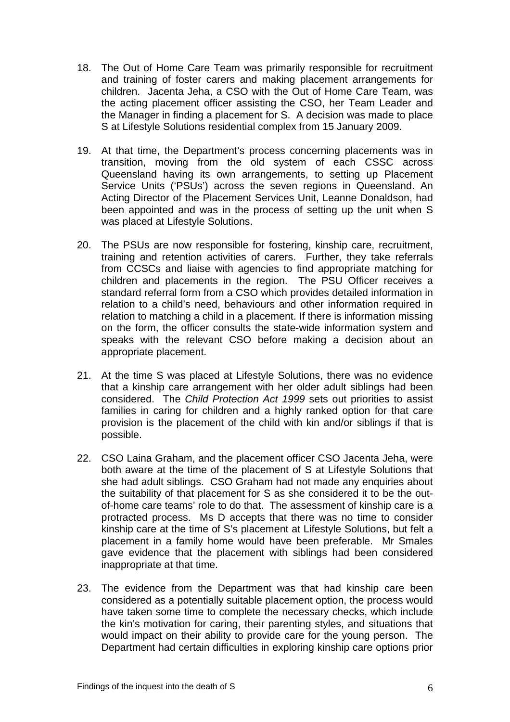- 18. The Out of Home Care Team was primarily responsible for recruitment and training of foster carers and making placement arrangements for children. Jacenta Jeha, a CSO with the Out of Home Care Team, was the acting placement officer assisting the CSO, her Team Leader and the Manager in finding a placement for S. A decision was made to place S at Lifestyle Solutions residential complex from 15 January 2009.
- 19. At that time, the Department's process concerning placements was in transition, moving from the old system of each CSSC across Queensland having its own arrangements, to setting up Placement Service Units ('PSUs') across the seven regions in Queensland. An Acting Director of the Placement Services Unit, Leanne Donaldson, had been appointed and was in the process of setting up the unit when S was placed at Lifestyle Solutions.
- 20. The PSUs are now responsible for fostering, kinship care, recruitment, training and retention activities of carers. Further, they take referrals from CCSCs and liaise with agencies to find appropriate matching for children and placements in the region. The PSU Officer receives a standard referral form from a CSO which provides detailed information in relation to a child's need, behaviours and other information required in relation to matching a child in a placement. If there is information missing on the form, the officer consults the state-wide information system and speaks with the relevant CSO before making a decision about an appropriate placement.
- 21. At the time S was placed at Lifestyle Solutions, there was no evidence that a kinship care arrangement with her older adult siblings had been considered. The *Child Protection Act 1999* sets out priorities to assist families in caring for children and a highly ranked option for that care provision is the placement of the child with kin and/or siblings if that is possible.
- 22. CSO Laina Graham, and the placement officer CSO Jacenta Jeha, were both aware at the time of the placement of S at Lifestyle Solutions that she had adult siblings. CSO Graham had not made any enquiries about the suitability of that placement for S as she considered it to be the outof-home care teams' role to do that. The assessment of kinship care is a protracted process. Ms D accepts that there was no time to consider kinship care at the time of S's placement at Lifestyle Solutions, but felt a placement in a family home would have been preferable. Mr Smales gave evidence that the placement with siblings had been considered inappropriate at that time.
- 23. The evidence from the Department was that had kinship care been considered as a potentially suitable placement option, the process would have taken some time to complete the necessary checks, which include the kin's motivation for caring, their parenting styles, and situations that would impact on their ability to provide care for the young person. The Department had certain difficulties in exploring kinship care options prior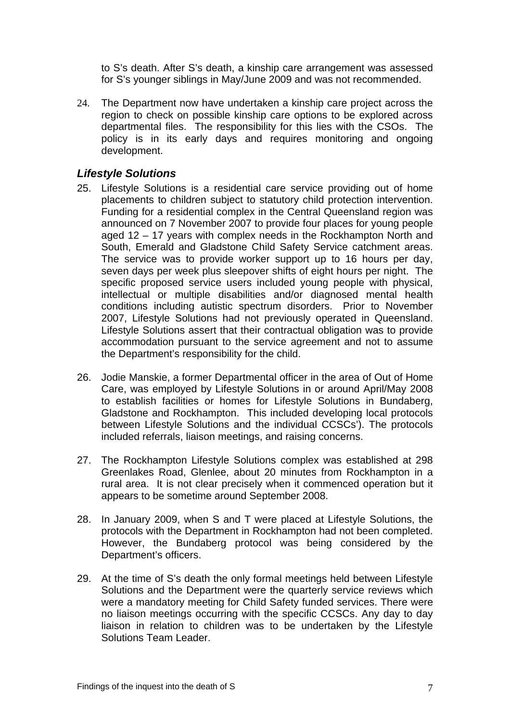to S's death. After S's death, a kinship care arrangement was assessed for S's younger siblings in May/June 2009 and was not recommended.

24. The Department now have undertaken a kinship care project across the region to check on possible kinship care options to be explored across departmental files. The responsibility for this lies with the CSOs. The policy is in its early days and requires monitoring and ongoing development.

# *Lifestyle Solutions*

- 25. Lifestyle Solutions is a residential care service providing out of home placements to children subject to statutory child protection intervention. Funding for a residential complex in the Central Queensland region was announced on 7 November 2007 to provide four places for young people aged 12 – 17 years with complex needs in the Rockhampton North and South, Emerald and Gladstone Child Safety Service catchment areas. The service was to provide worker support up to 16 hours per day, seven days per week plus sleepover shifts of eight hours per night. The specific proposed service users included young people with physical, intellectual or multiple disabilities and/or diagnosed mental health conditions including autistic spectrum disorders. Prior to November 2007, Lifestyle Solutions had not previously operated in Queensland. Lifestyle Solutions assert that their contractual obligation was to provide accommodation pursuant to the service agreement and not to assume the Department's responsibility for the child.
- 26. Jodie Manskie, a former Departmental officer in the area of Out of Home Care, was employed by Lifestyle Solutions in or around April/May 2008 to establish facilities or homes for Lifestyle Solutions in Bundaberg, Gladstone and Rockhampton. This included developing local protocols between Lifestyle Solutions and the individual CCSCs'). The protocols included referrals, liaison meetings, and raising concerns.
- 27. The Rockhampton Lifestyle Solutions complex was established at 298 Greenlakes Road, Glenlee, about 20 minutes from Rockhampton in a rural area. It is not clear precisely when it commenced operation but it appears to be sometime around September 2008.
- 28. In January 2009, when S and T were placed at Lifestyle Solutions, the protocols with the Department in Rockhampton had not been completed. However, the Bundaberg protocol was being considered by the Department's officers.
- 29. At the time of S's death the only formal meetings held between Lifestyle Solutions and the Department were the quarterly service reviews which were a mandatory meeting for Child Safety funded services. There were no liaison meetings occurring with the specific CCSCs. Any day to day liaison in relation to children was to be undertaken by the Lifestyle Solutions Team Leader.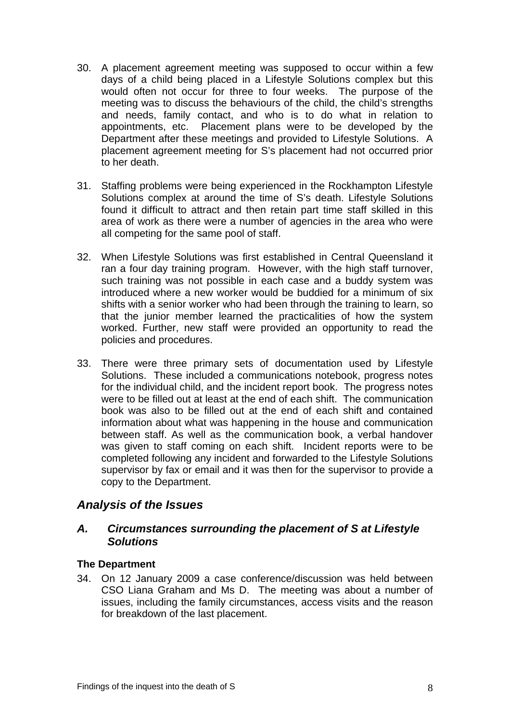- 30. A placement agreement meeting was supposed to occur within a few days of a child being placed in a Lifestyle Solutions complex but this would often not occur for three to four weeks. The purpose of the meeting was to discuss the behaviours of the child, the child's strengths and needs, family contact, and who is to do what in relation to appointments, etc. Placement plans were to be developed by the Department after these meetings and provided to Lifestyle Solutions. A placement agreement meeting for S's placement had not occurred prior to her death.
- 31. Staffing problems were being experienced in the Rockhampton Lifestyle Solutions complex at around the time of S's death. Lifestyle Solutions found it difficult to attract and then retain part time staff skilled in this area of work as there were a number of agencies in the area who were all competing for the same pool of staff.
- 32. When Lifestyle Solutions was first established in Central Queensland it ran a four day training program. However, with the high staff turnover, such training was not possible in each case and a buddy system was introduced where a new worker would be buddied for a minimum of six shifts with a senior worker who had been through the training to learn, so that the junior member learned the practicalities of how the system worked. Further, new staff were provided an opportunity to read the policies and procedures.
- 33. There were three primary sets of documentation used by Lifestyle Solutions. These included a communications notebook, progress notes for the individual child, and the incident report book. The progress notes were to be filled out at least at the end of each shift. The communication book was also to be filled out at the end of each shift and contained information about what was happening in the house and communication between staff. As well as the communication book, a verbal handover was given to staff coming on each shift. Incident reports were to be completed following any incident and forwarded to the Lifestyle Solutions supervisor by fax or email and it was then for the supervisor to provide a copy to the Department.

# *Analysis of the Issues*

## *A. Circumstances surrounding the placement of S at Lifestyle Solutions*

### **The Department**

34. On 12 January 2009 a case conference/discussion was held between CSO Liana Graham and Ms D. The meeting was about a number of issues, including the family circumstances, access visits and the reason for breakdown of the last placement.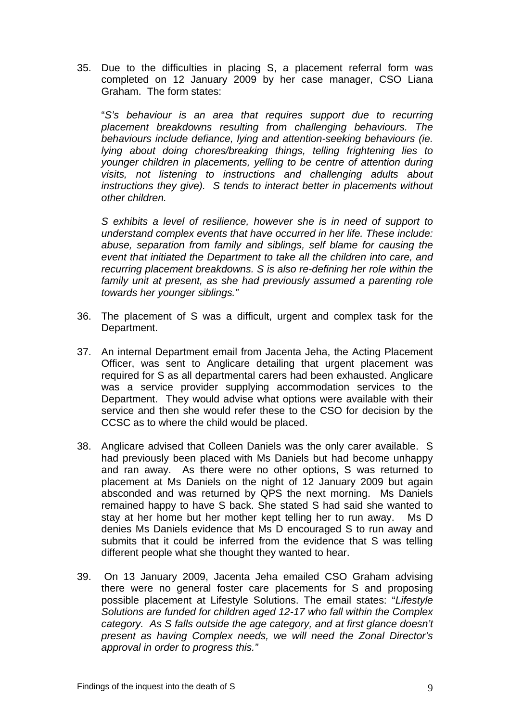35. Due to the difficulties in placing S, a placement referral form was completed on 12 January 2009 by her case manager, CSO Liana Graham. The form states:

 "*S's behaviour is an area that requires support due to recurring placement breakdowns resulting from challenging behaviours. The behaviours include defiance, lying and attention-seeking behaviours (ie. lying about doing chores/breaking things, telling frightening lies to younger children in placements, yelling to be centre of attention during visits, not listening to instructions and challenging adults about instructions they give). S tends to interact better in placements without other children.* 

 *S exhibits a level of resilience, however she is in need of support to understand complex events that have occurred in her life. These include: abuse, separation from family and siblings, self blame for causing the event that initiated the Department to take all the children into care, and recurring placement breakdowns. S is also re-defining her role within the family unit at present, as she had previously assumed a parenting role towards her younger siblings."* 

- 36. The placement of S was a difficult, urgent and complex task for the Department.
- 37. An internal Department email from Jacenta Jeha, the Acting Placement Officer, was sent to Anglicare detailing that urgent placement was required for S as all departmental carers had been exhausted. Anglicare was a service provider supplying accommodation services to the Department. They would advise what options were available with their service and then she would refer these to the CSO for decision by the CCSC as to where the child would be placed.
- 38. Anglicare advised that Colleen Daniels was the only carer available. S had previously been placed with Ms Daniels but had become unhappy and ran away. As there were no other options, S was returned to placement at Ms Daniels on the night of 12 January 2009 but again absconded and was returned by QPS the next morning. Ms Daniels remained happy to have S back. She stated S had said she wanted to stay at her home but her mother kept telling her to run away. Ms D denies Ms Daniels evidence that Ms D encouraged S to run away and submits that it could be inferred from the evidence that S was telling different people what she thought they wanted to hear.
- 39. On 13 January 2009, Jacenta Jeha emailed CSO Graham advising there were no general foster care placements for S and proposing possible placement at Lifestyle Solutions. The email states: "*Lifestyle Solutions are funded for children aged 12-17 who fall within the Complex category. As S falls outside the age category, and at first glance doesn't present as having Complex needs, we will need the Zonal Director's approval in order to progress this."*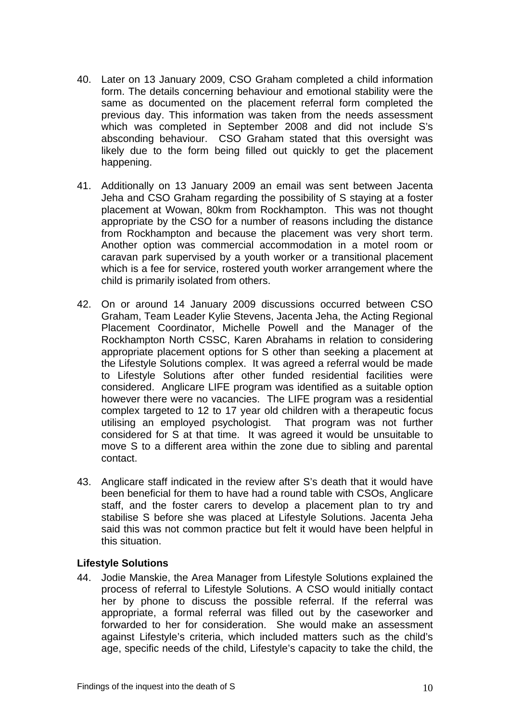- 40. Later on 13 January 2009, CSO Graham completed a child information form. The details concerning behaviour and emotional stability were the same as documented on the placement referral form completed the previous day. This information was taken from the needs assessment which was completed in September 2008 and did not include S's absconding behaviour. CSO Graham stated that this oversight was likely due to the form being filled out quickly to get the placement happening.
- 41. Additionally on 13 January 2009 an email was sent between Jacenta Jeha and CSO Graham regarding the possibility of S staying at a foster placement at Wowan, 80km from Rockhampton. This was not thought appropriate by the CSO for a number of reasons including the distance from Rockhampton and because the placement was very short term. Another option was commercial accommodation in a motel room or caravan park supervised by a youth worker or a transitional placement which is a fee for service, rostered youth worker arrangement where the child is primarily isolated from others.
- 42. On or around 14 January 2009 discussions occurred between CSO Graham, Team Leader Kylie Stevens, Jacenta Jeha, the Acting Regional Placement Coordinator, Michelle Powell and the Manager of the Rockhampton North CSSC, Karen Abrahams in relation to considering appropriate placement options for S other than seeking a placement at the Lifestyle Solutions complex. It was agreed a referral would be made to Lifestyle Solutions after other funded residential facilities were considered. Anglicare LIFE program was identified as a suitable option however there were no vacancies. The LIFE program was a residential complex targeted to 12 to 17 year old children with a therapeutic focus utilising an employed psychologist. That program was not further considered for S at that time. It was agreed it would be unsuitable to move S to a different area within the zone due to sibling and parental contact.
- 43. Anglicare staff indicated in the review after S's death that it would have been beneficial for them to have had a round table with CSOs, Anglicare staff, and the foster carers to develop a placement plan to try and stabilise S before she was placed at Lifestyle Solutions. Jacenta Jeha said this was not common practice but felt it would have been helpful in this situation.

### **Lifestyle Solutions**

44. Jodie Manskie, the Area Manager from Lifestyle Solutions explained the process of referral to Lifestyle Solutions. A CSO would initially contact her by phone to discuss the possible referral. If the referral was appropriate, a formal referral was filled out by the caseworker and forwarded to her for consideration. She would make an assessment against Lifestyle's criteria, which included matters such as the child's age, specific needs of the child, Lifestyle's capacity to take the child, the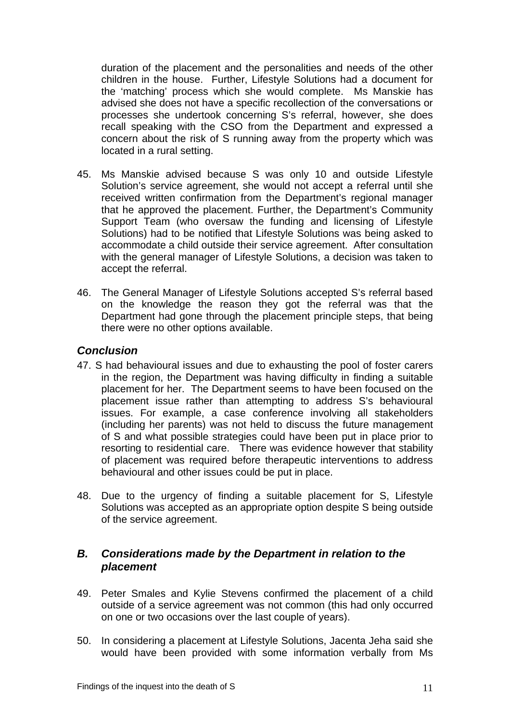duration of the placement and the personalities and needs of the other children in the house. Further, Lifestyle Solutions had a document for the 'matching' process which she would complete. Ms Manskie has advised she does not have a specific recollection of the conversations or processes she undertook concerning S's referral, however, she does recall speaking with the CSO from the Department and expressed a concern about the risk of S running away from the property which was located in a rural setting.

- 45. Ms Manskie advised because S was only 10 and outside Lifestyle Solution's service agreement, she would not accept a referral until she received written confirmation from the Department's regional manager that he approved the placement. Further, the Department's Community Support Team (who oversaw the funding and licensing of Lifestyle Solutions) had to be notified that Lifestyle Solutions was being asked to accommodate a child outside their service agreement. After consultation with the general manager of Lifestyle Solutions, a decision was taken to accept the referral.
- 46. The General Manager of Lifestyle Solutions accepted S's referral based on the knowledge the reason they got the referral was that the Department had gone through the placement principle steps, that being there were no other options available.

# *Conclusion*

- 47. S had behavioural issues and due to exhausting the pool of foster carers in the region, the Department was having difficulty in finding a suitable placement for her. The Department seems to have been focused on the placement issue rather than attempting to address S's behavioural issues. For example, a case conference involving all stakeholders (including her parents) was not held to discuss the future management of S and what possible strategies could have been put in place prior to resorting to residential care. There was evidence however that stability of placement was required before therapeutic interventions to address behavioural and other issues could be put in place.
- 48. Due to the urgency of finding a suitable placement for S, Lifestyle Solutions was accepted as an appropriate option despite S being outside of the service agreement.

# *B. Considerations made by the Department in relation to the placement*

- 49. Peter Smales and Kylie Stevens confirmed the placement of a child outside of a service agreement was not common (this had only occurred on one or two occasions over the last couple of years).
- 50. In considering a placement at Lifestyle Solutions, Jacenta Jeha said she would have been provided with some information verbally from Ms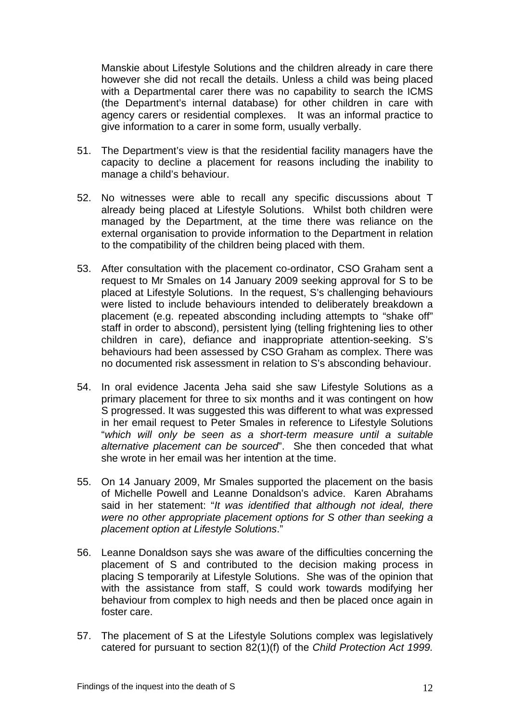Manskie about Lifestyle Solutions and the children already in care there however she did not recall the details. Unless a child was being placed with a Departmental carer there was no capability to search the ICMS (the Department's internal database) for other children in care with agency carers or residential complexes. It was an informal practice to give information to a carer in some form, usually verbally.

- 51. The Department's view is that the residential facility managers have the capacity to decline a placement for reasons including the inability to manage a child's behaviour.
- 52. No witnesses were able to recall any specific discussions about T already being placed at Lifestyle Solutions. Whilst both children were managed by the Department, at the time there was reliance on the external organisation to provide information to the Department in relation to the compatibility of the children being placed with them.
- 53. After consultation with the placement co-ordinator, CSO Graham sent a request to Mr Smales on 14 January 2009 seeking approval for S to be placed at Lifestyle Solutions. In the request, S's challenging behaviours were listed to include behaviours intended to deliberately breakdown a placement (e.g. repeated absconding including attempts to "shake off" staff in order to abscond), persistent lying (telling frightening lies to other children in care), defiance and inappropriate attention-seeking. S's behaviours had been assessed by CSO Graham as complex. There was no documented risk assessment in relation to S's absconding behaviour.
- 54. In oral evidence Jacenta Jeha said she saw Lifestyle Solutions as a primary placement for three to six months and it was contingent on how S progressed. It was suggested this was different to what was expressed in her email request to Peter Smales in reference to Lifestyle Solutions "*which will only be seen as a short-term measure until a suitable alternative placement can be sourced*". She then conceded that what she wrote in her email was her intention at the time.
- 55. On 14 January 2009, Mr Smales supported the placement on the basis of Michelle Powell and Leanne Donaldson's advice. Karen Abrahams said in her statement: "*It was identified that although not ideal, there were no other appropriate placement options for S other than seeking a placement option at Lifestyle Solutions*."
- 56. Leanne Donaldson says she was aware of the difficulties concerning the placement of S and contributed to the decision making process in placing S temporarily at Lifestyle Solutions. She was of the opinion that with the assistance from staff, S could work towards modifying her behaviour from complex to high needs and then be placed once again in foster care.
- 57. The placement of S at the Lifestyle Solutions complex was legislatively catered for pursuant to section 82(1)(f) of the *Child Protection Act 1999.*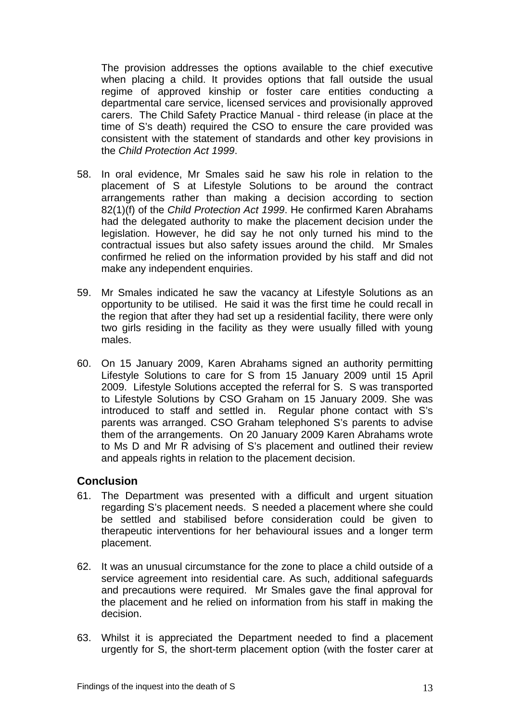The provision addresses the options available to the chief executive when placing a child. It provides options that fall outside the usual regime of approved kinship or foster care entities conducting a departmental care service, licensed services and provisionally approved carers. The Child Safety Practice Manual - third release (in place at the time of S's death) required the CSO to ensure the care provided was consistent with the statement of standards and other key provisions in the *Child Protection Act 1999*.

- 58. In oral evidence, Mr Smales said he saw his role in relation to the placement of S at Lifestyle Solutions to be around the contract arrangements rather than making a decision according to section 82(1)(f) of the *Child Protection Act 1999*. He confirmed Karen Abrahams had the delegated authority to make the placement decision under the legislation. However, he did say he not only turned his mind to the contractual issues but also safety issues around the child. Mr Smales confirmed he relied on the information provided by his staff and did not make any independent enquiries.
- 59. Mr Smales indicated he saw the vacancy at Lifestyle Solutions as an opportunity to be utilised. He said it was the first time he could recall in the region that after they had set up a residential facility, there were only two girls residing in the facility as they were usually filled with young males.
- 60. On 15 January 2009, Karen Abrahams signed an authority permitting Lifestyle Solutions to care for S from 15 January 2009 until 15 April 2009. Lifestyle Solutions accepted the referral for S. S was transported to Lifestyle Solutions by CSO Graham on 15 January 2009. She was introduced to staff and settled in. Regular phone contact with S's parents was arranged. CSO Graham telephoned S's parents to advise them of the arrangements. On 20 January 2009 Karen Abrahams wrote to Ms D and Mr R advising of S's placement and outlined their review and appeals rights in relation to the placement decision.

# **Conclusion**

- 61. The Department was presented with a difficult and urgent situation regarding S's placement needs. S needed a placement where she could be settled and stabilised before consideration could be given to therapeutic interventions for her behavioural issues and a longer term placement.
- 62. It was an unusual circumstance for the zone to place a child outside of a service agreement into residential care. As such, additional safeguards and precautions were required. Mr Smales gave the final approval for the placement and he relied on information from his staff in making the decision.
- 63. Whilst it is appreciated the Department needed to find a placement urgently for S, the short-term placement option (with the foster carer at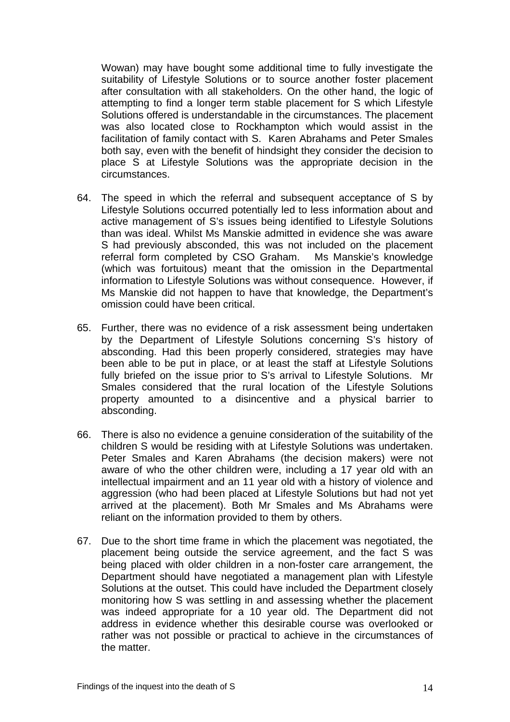Wowan) may have bought some additional time to fully investigate the suitability of Lifestyle Solutions or to source another foster placement after consultation with all stakeholders. On the other hand, the logic of attempting to find a longer term stable placement for S which Lifestyle Solutions offered is understandable in the circumstances. The placement was also located close to Rockhampton which would assist in the facilitation of family contact with S. Karen Abrahams and Peter Smales both say, even with the benefit of hindsight they consider the decision to place S at Lifestyle Solutions was the appropriate decision in the circumstances.

- 64. The speed in which the referral and subsequent acceptance of S by Lifestyle Solutions occurred potentially led to less information about and active management of S's issues being identified to Lifestyle Solutions than was ideal. Whilst Ms Manskie admitted in evidence she was aware S had previously absconded, this was not included on the placement referral form completed by CSO Graham. Ms Manskie's knowledge (which was fortuitous) meant that the omission in the Departmental information to Lifestyle Solutions was without consequence. However, if Ms Manskie did not happen to have that knowledge, the Department's omission could have been critical.
- 65. Further, there was no evidence of a risk assessment being undertaken by the Department of Lifestyle Solutions concerning S's history of absconding. Had this been properly considered, strategies may have been able to be put in place, or at least the staff at Lifestyle Solutions fully briefed on the issue prior to S's arrival to Lifestyle Solutions. Mr Smales considered that the rural location of the Lifestyle Solutions property amounted to a disincentive and a physical barrier to absconding.
- 66. There is also no evidence a genuine consideration of the suitability of the children S would be residing with at Lifestyle Solutions was undertaken. Peter Smales and Karen Abrahams (the decision makers) were not aware of who the other children were, including a 17 year old with an intellectual impairment and an 11 year old with a history of violence and aggression (who had been placed at Lifestyle Solutions but had not yet arrived at the placement). Both Mr Smales and Ms Abrahams were reliant on the information provided to them by others.
- 67. Due to the short time frame in which the placement was negotiated, the placement being outside the service agreement, and the fact S was being placed with older children in a non-foster care arrangement, the Department should have negotiated a management plan with Lifestyle Solutions at the outset. This could have included the Department closely monitoring how S was settling in and assessing whether the placement was indeed appropriate for a 10 year old. The Department did not address in evidence whether this desirable course was overlooked or rather was not possible or practical to achieve in the circumstances of the matter.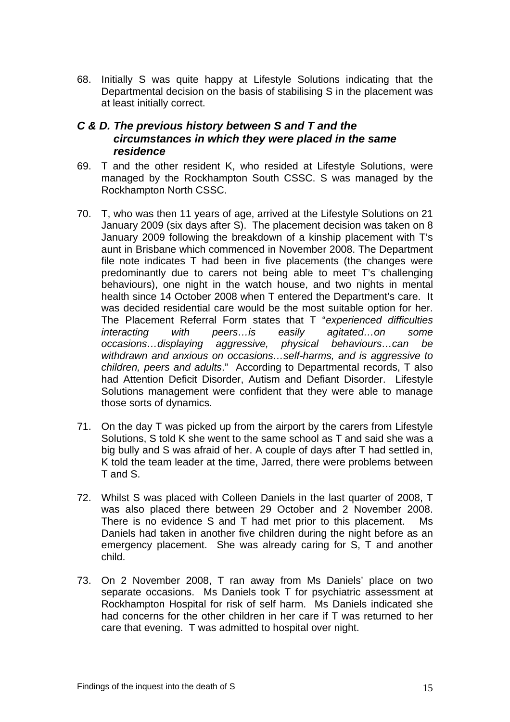68. Initially S was quite happy at Lifestyle Solutions indicating that the Departmental decision on the basis of stabilising S in the placement was at least initially correct.

# *C & D. The previous history between S and T and the circumstances in which they were placed in the same residence*

- 69. T and the other resident K, who resided at Lifestyle Solutions, were managed by the Rockhampton South CSSC. S was managed by the Rockhampton North CSSC.
- 70. T, who was then 11 years of age, arrived at the Lifestyle Solutions on 21 January 2009 (six days after S). The placement decision was taken on 8 January 2009 following the breakdown of a kinship placement with T's aunt in Brisbane which commenced in November 2008. The Department file note indicates T had been in five placements (the changes were predominantly due to carers not being able to meet T's challenging behaviours), one night in the watch house, and two nights in mental health since 14 October 2008 when T entered the Department's care. It was decided residential care would be the most suitable option for her. The Placement Referral Form states that T "*experienced difficulties interacting with peers…is easily agitated…on some occasions…displaying aggressive, physical behaviours…can be withdrawn and anxious on occasions…self-harms, and is aggressive to children, peers and adults*." According to Departmental records, T also had Attention Deficit Disorder, Autism and Defiant Disorder. Lifestyle Solutions management were confident that they were able to manage those sorts of dynamics.
- 71. On the day T was picked up from the airport by the carers from Lifestyle Solutions, S told K she went to the same school as T and said she was a big bully and S was afraid of her. A couple of days after T had settled in, K told the team leader at the time, Jarred, there were problems between T and S.
- 72. Whilst S was placed with Colleen Daniels in the last quarter of 2008, T was also placed there between 29 October and 2 November 2008. There is no evidence S and T had met prior to this placement. Ms Daniels had taken in another five children during the night before as an emergency placement. She was already caring for S, T and another child.
- 73. On 2 November 2008, T ran away from Ms Daniels' place on two separate occasions. Ms Daniels took T for psychiatric assessment at Rockhampton Hospital for risk of self harm. Ms Daniels indicated she had concerns for the other children in her care if T was returned to her care that evening. T was admitted to hospital over night.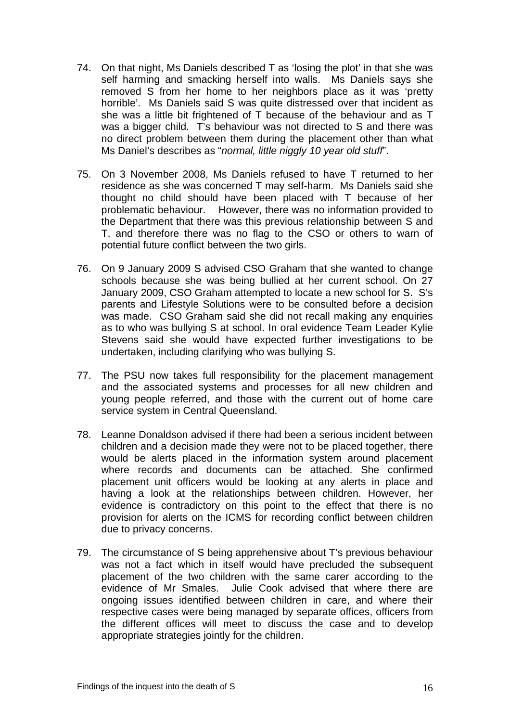- 74. On that night, Ms Daniels described T as 'losing the plot' in that she was self harming and smacking herself into walls. Ms Daniels says she removed S from her home to her neighbors place as it was 'pretty horrible'. Ms Daniels said S was quite distressed over that incident as she was a little bit frightened of T because of the behaviour and as T was a bigger child. T's behaviour was not directed to S and there was no direct problem between them during the placement other than what Ms Daniel's describes as "*normal, little niggly 10 year old stuff*".
- 75. On 3 November 2008, Ms Daniels refused to have T returned to her residence as she was concerned T may self-harm. Ms Daniels said she thought no child should have been placed with T because of her problematic behaviour. However, there was no information provided to the Department that there was this previous relationship between S and T, and therefore there was no flag to the CSO or others to warn of potential future conflict between the two girls.
- 76. On 9 January 2009 S advised CSO Graham that she wanted to change schools because she was being bullied at her current school. On 27 January 2009, CSO Graham attempted to locate a new school for S. S's parents and Lifestyle Solutions were to be consulted before a decision was made. CSO Graham said she did not recall making any enquiries as to who was bullying S at school. In oral evidence Team Leader Kylie Stevens said she would have expected further investigations to be undertaken, including clarifying who was bullying S.
- 77. The PSU now takes full responsibility for the placement management and the associated systems and processes for all new children and young people referred, and those with the current out of home care service system in Central Queensland.
- 78. Leanne Donaldson advised if there had been a serious incident between children and a decision made they were not to be placed together, there would be alerts placed in the information system around placement where records and documents can be attached. She confirmed placement unit officers would be looking at any alerts in place and having a look at the relationships between children. However, her evidence is contradictory on this point to the effect that there is no provision for alerts on the ICMS for recording conflict between children due to privacy concerns.
- 79. The circumstance of S being apprehensive about T's previous behaviour was not a fact which in itself would have precluded the subsequent placement of the two children with the same carer according to the evidence of Mr Smales. Julie Cook advised that where there are ongoing issues identified between children in care, and where their respective cases were being managed by separate offices, officers from the different offices will meet to discuss the case and to develop appropriate strategies jointly for the children.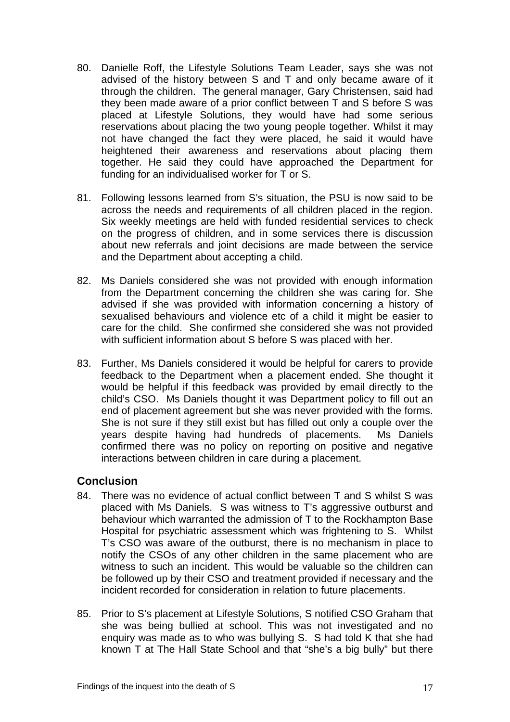- 80. Danielle Roff, the Lifestyle Solutions Team Leader, says she was not advised of the history between S and T and only became aware of it through the children. The general manager, Gary Christensen, said had they been made aware of a prior conflict between T and S before S was placed at Lifestyle Solutions, they would have had some serious reservations about placing the two young people together. Whilst it may not have changed the fact they were placed, he said it would have heightened their awareness and reservations about placing them together. He said they could have approached the Department for funding for an individualised worker for T or S.
- 81. Following lessons learned from S's situation, the PSU is now said to be across the needs and requirements of all children placed in the region. Six weekly meetings are held with funded residential services to check on the progress of children, and in some services there is discussion about new referrals and joint decisions are made between the service and the Department about accepting a child.
- 82. Ms Daniels considered she was not provided with enough information from the Department concerning the children she was caring for. She advised if she was provided with information concerning a history of sexualised behaviours and violence etc of a child it might be easier to care for the child. She confirmed she considered she was not provided with sufficient information about S before S was placed with her.
- 83. Further, Ms Daniels considered it would be helpful for carers to provide feedback to the Department when a placement ended. She thought it would be helpful if this feedback was provided by email directly to the child's CSO. Ms Daniels thought it was Department policy to fill out an end of placement agreement but she was never provided with the forms. She is not sure if they still exist but has filled out only a couple over the years despite having had hundreds of placements. Ms Daniels confirmed there was no policy on reporting on positive and negative interactions between children in care during a placement.

# **Conclusion**

- 84. There was no evidence of actual conflict between T and S whilst S was placed with Ms Daniels. S was witness to T's aggressive outburst and behaviour which warranted the admission of T to the Rockhampton Base Hospital for psychiatric assessment which was frightening to S. Whilst T's CSO was aware of the outburst, there is no mechanism in place to notify the CSOs of any other children in the same placement who are witness to such an incident. This would be valuable so the children can be followed up by their CSO and treatment provided if necessary and the incident recorded for consideration in relation to future placements.
- 85. Prior to S's placement at Lifestyle Solutions, S notified CSO Graham that she was being bullied at school. This was not investigated and no enquiry was made as to who was bullying S. S had told K that she had known T at The Hall State School and that "she's a big bully" but there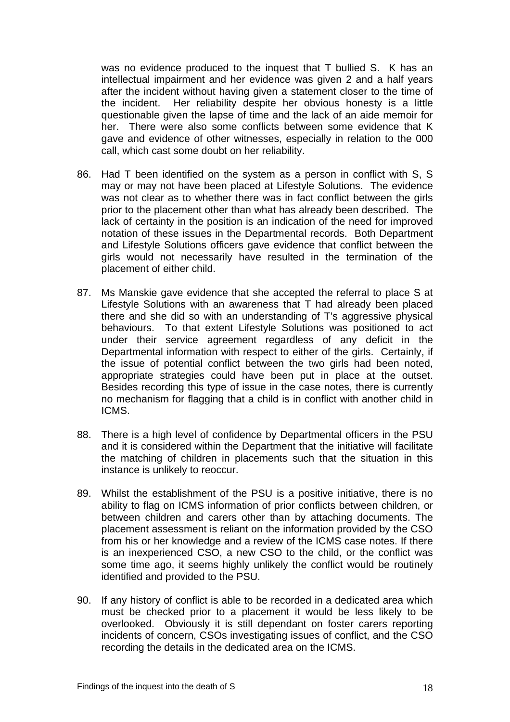was no evidence produced to the inquest that T bullied S. K has an intellectual impairment and her evidence was given 2 and a half years after the incident without having given a statement closer to the time of the incident. Her reliability despite her obvious honesty is a little questionable given the lapse of time and the lack of an aide memoir for her. There were also some conflicts between some evidence that K gave and evidence of other witnesses, especially in relation to the 000 call, which cast some doubt on her reliability.

- 86. Had T been identified on the system as a person in conflict with S, S may or may not have been placed at Lifestyle Solutions. The evidence was not clear as to whether there was in fact conflict between the girls prior to the placement other than what has already been described. The lack of certainty in the position is an indication of the need for improved notation of these issues in the Departmental records. Both Department and Lifestyle Solutions officers gave evidence that conflict between the girls would not necessarily have resulted in the termination of the placement of either child.
- 87. Ms Manskie gave evidence that she accepted the referral to place S at Lifestyle Solutions with an awareness that T had already been placed there and she did so with an understanding of T's aggressive physical behaviours. To that extent Lifestyle Solutions was positioned to act under their service agreement regardless of any deficit in the Departmental information with respect to either of the girls. Certainly, if the issue of potential conflict between the two girls had been noted, appropriate strategies could have been put in place at the outset. Besides recording this type of issue in the case notes, there is currently no mechanism for flagging that a child is in conflict with another child in ICMS.
- 88. There is a high level of confidence by Departmental officers in the PSU and it is considered within the Department that the initiative will facilitate the matching of children in placements such that the situation in this instance is unlikely to reoccur.
- 89. Whilst the establishment of the PSU is a positive initiative, there is no ability to flag on ICMS information of prior conflicts between children, or between children and carers other than by attaching documents. The placement assessment is reliant on the information provided by the CSO from his or her knowledge and a review of the ICMS case notes. If there is an inexperienced CSO, a new CSO to the child, or the conflict was some time ago, it seems highly unlikely the conflict would be routinely identified and provided to the PSU.
- 90. If any history of conflict is able to be recorded in a dedicated area which must be checked prior to a placement it would be less likely to be overlooked. Obviously it is still dependant on foster carers reporting incidents of concern, CSOs investigating issues of conflict, and the CSO recording the details in the dedicated area on the ICMS.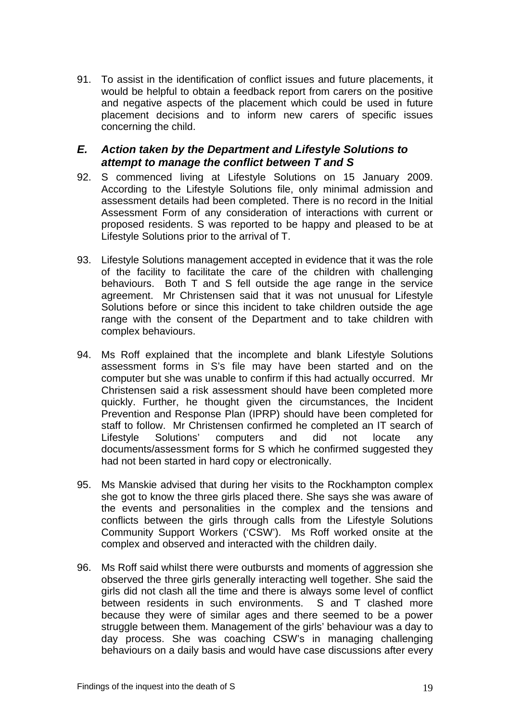91. To assist in the identification of conflict issues and future placements, it would be helpful to obtain a feedback report from carers on the positive and negative aspects of the placement which could be used in future placement decisions and to inform new carers of specific issues concerning the child.

## *E. Action taken by the Department and Lifestyle Solutions to attempt to manage the conflict between T and S*

- 92. S commenced living at Lifestyle Solutions on 15 January 2009. According to the Lifestyle Solutions file, only minimal admission and assessment details had been completed. There is no record in the Initial Assessment Form of any consideration of interactions with current or proposed residents. S was reported to be happy and pleased to be at Lifestyle Solutions prior to the arrival of T.
- 93. Lifestyle Solutions management accepted in evidence that it was the role of the facility to facilitate the care of the children with challenging behaviours. Both T and S fell outside the age range in the service agreement. Mr Christensen said that it was not unusual for Lifestyle Solutions before or since this incident to take children outside the age range with the consent of the Department and to take children with complex behaviours.
- 94. Ms Roff explained that the incomplete and blank Lifestyle Solutions assessment forms in S's file may have been started and on the computer but she was unable to confirm if this had actually occurred. Mr Christensen said a risk assessment should have been completed more quickly. Further, he thought given the circumstances, the Incident Prevention and Response Plan (IPRP) should have been completed for staff to follow. Mr Christensen confirmed he completed an IT search of Lifestyle Solutions' computers and did not locate any documents/assessment forms for S which he confirmed suggested they had not been started in hard copy or electronically.
- 95. Ms Manskie advised that during her visits to the Rockhampton complex she got to know the three girls placed there. She says she was aware of the events and personalities in the complex and the tensions and conflicts between the girls through calls from the Lifestyle Solutions Community Support Workers ('CSW'). Ms Roff worked onsite at the complex and observed and interacted with the children daily.
- 96. Ms Roff said whilst there were outbursts and moments of aggression she observed the three girls generally interacting well together. She said the girls did not clash all the time and there is always some level of conflict between residents in such environments. S and T clashed more because they were of similar ages and there seemed to be a power struggle between them. Management of the girls' behaviour was a day to day process. She was coaching CSW's in managing challenging behaviours on a daily basis and would have case discussions after every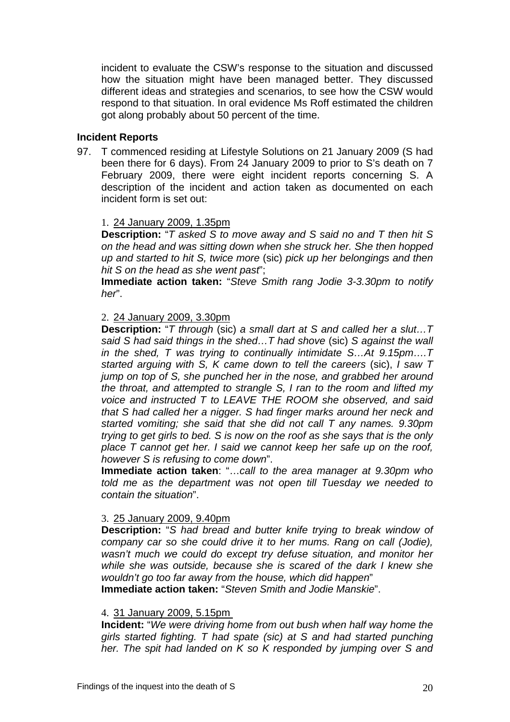incident to evaluate the CSW's response to the situation and discussed how the situation might have been managed better. They discussed different ideas and strategies and scenarios, to see how the CSW would respond to that situation. In oral evidence Ms Roff estimated the children got along probably about 50 percent of the time.

#### **Incident Reports**

97. T commenced residing at Lifestyle Solutions on 21 January 2009 (S had been there for 6 days). From 24 January 2009 to prior to S's death on 7 February 2009, there were eight incident reports concerning S. A description of the incident and action taken as documented on each incident form is set out:

### 1. 24 January 2009, 1.35pm

**Description:** "*T asked S to move away and S said no and T then hit S on the head and was sitting down when she struck her. She then hopped up and started to hit S, twice more* (sic) *pick up her belongings and then hit S on the head as she went past*";

**Immediate action taken:** "*Steve Smith rang Jodie 3-3.30pm to notify her*".

#### 2. 24 January 2009, 3.30pm

**Description:** "*T through* (sic) *a small dart at S and called her a slut…T said S had said things in the shed…T had shove* (sic) *S against the wall in the shed, T was trying to continually intimidate S…At 9.15pm….T started arguing with S, K came down to tell the careers* (sic), *I saw T jump on top of S, she punched her in the nose, and grabbed her around the throat, and attempted to strangle S, I ran to the room and lifted my voice and instructed T to LEAVE THE ROOM she observed, and said that S had called her a nigger. S had finger marks around her neck and started vomiting; she said that she did not call T any names. 9.30pm trying to get girls to bed. S is now on the roof as she says that is the only place T cannot get her. I said we cannot keep her safe up on the roof, however S is refusing to come down*".

**Immediate action taken**: "…*call to the area manager at 9.30pm who told me as the department was not open till Tuesday we needed to contain the situation*".

#### 3. 25 January 2009, 9.40pm

**Description:** "*S had bread and butter knife trying to break window of company car so she could drive it to her mums. Rang on call (Jodie), wasn't much we could do except try defuse situation, and monitor her while she was outside, because she is scared of the dark I knew she wouldn't go too far away from the house, which did happen*"

**Immediate action taken:** "*Steven Smith and Jodie Manskie*".

#### 4. 31 January 2009, 5.15pm

**Incident:** "*We were driving home from out bush when half way home the girls started fighting. T had spate (sic) at S and had started punching her. The spit had landed on K so K responded by jumping over S and*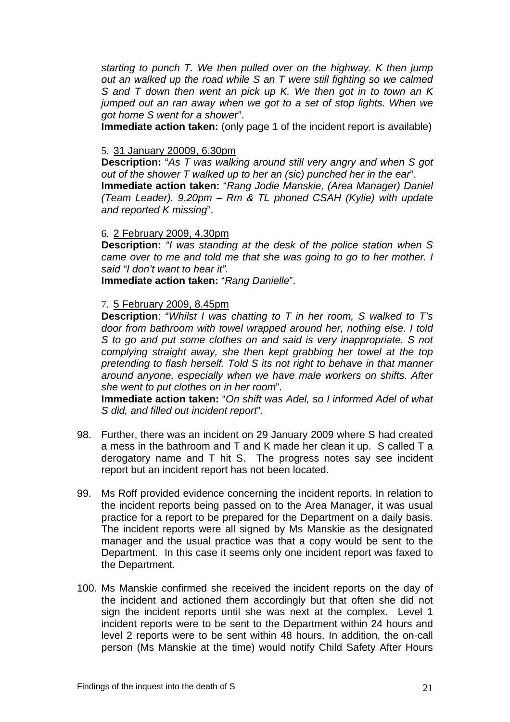*starting to punch T. We then pulled over on the highway. K then jump out an walked up the road while S an T were still fighting so we calmed S and T down then went an pick up K. We then got in to town an K jumped out an ran away when we got to a set of stop lights. When we got home S went for a showe*r".

**Immediate action taken:** (only page 1 of the incident report is available)

#### 5. 31 January 20009, 6.30pm

**Description:** "*As T was walking around still very angry and when S got out of the shower T walked up to her an (sic) punched her in the ear*". **Immediate action taken:** "*Rang Jodie Manskie, (Area Manager) Daniel (Team Leader). 9.20pm – Rm & TL phoned CSAH (Kylie) with update and reported K missing*".

#### 6. 2 February 2009, 4.30pm

**Description:** *"I was standing at the desk of the police station when S came over to me and told me that she was going to go to her mother. I said "I don't want to hear it".*

**Immediate action taken:** "*Rang Danielle*".

### 7. 5 February 2009, 8.45pm

**Description**: "*Whilst I was chatting to T in her room, S walked to T's door from bathroom with towel wrapped around her, nothing else. I told S to go and put some clothes on and said is very inappropriate. S not complying straight away, she then kept grabbing her towel at the top pretending to flash herself. Told S its not right to behave in that manner around anyone, especially when we have male workers on shifts. After she went to put clothes on in her room*".

**Immediate action taken:** "*On shift was Adel, so I informed Adel of what S did, and filled out incident report*".

- 98. Further, there was an incident on 29 January 2009 where S had created a mess in the bathroom and T and K made her clean it up. S called T a derogatory name and T hit S. The progress notes say see incident report but an incident report has not been located.
- 99. Ms Roff provided evidence concerning the incident reports. In relation to the incident reports being passed on to the Area Manager, it was usual practice for a report to be prepared for the Department on a daily basis. The incident reports were all signed by Ms Manskie as the designated manager and the usual practice was that a copy would be sent to the Department. In this case it seems only one incident report was faxed to the Department.
- 100. Ms Manskie confirmed she received the incident reports on the day of the incident and actioned them accordingly but that often she did not sign the incident reports until she was next at the complex. Level 1 incident reports were to be sent to the Department within 24 hours and level 2 reports were to be sent within 48 hours. In addition, the on-call person (Ms Manskie at the time) would notify Child Safety After Hours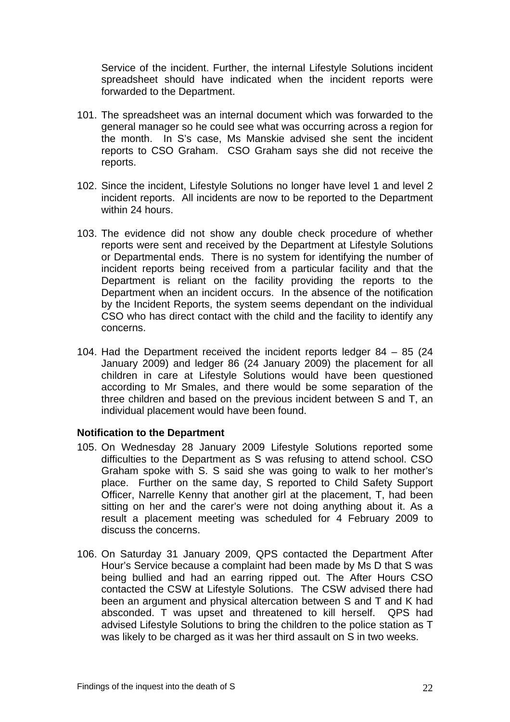Service of the incident. Further, the internal Lifestyle Solutions incident spreadsheet should have indicated when the incident reports were forwarded to the Department.

- 101. The spreadsheet was an internal document which was forwarded to the general manager so he could see what was occurring across a region for the month. In S's case, Ms Manskie advised she sent the incident reports to CSO Graham. CSO Graham says she did not receive the reports.
- 102. Since the incident, Lifestyle Solutions no longer have level 1 and level 2 incident reports. All incidents are now to be reported to the Department within 24 hours.
- 103. The evidence did not show any double check procedure of whether reports were sent and received by the Department at Lifestyle Solutions or Departmental ends. There is no system for identifying the number of incident reports being received from a particular facility and that the Department is reliant on the facility providing the reports to the Department when an incident occurs. In the absence of the notification by the Incident Reports, the system seems dependant on the individual CSO who has direct contact with the child and the facility to identify any concerns.
- 104. Had the Department received the incident reports ledger 84 85 (24 January 2009) and ledger 86 (24 January 2009) the placement for all children in care at Lifestyle Solutions would have been questioned according to Mr Smales, and there would be some separation of the three children and based on the previous incident between S and T, an individual placement would have been found.

#### **Notification to the Department**

- 105. On Wednesday 28 January 2009 Lifestyle Solutions reported some difficulties to the Department as S was refusing to attend school. CSO Graham spoke with S. S said she was going to walk to her mother's place. Further on the same day, S reported to Child Safety Support Officer, Narrelle Kenny that another girl at the placement, T, had been sitting on her and the carer's were not doing anything about it. As a result a placement meeting was scheduled for 4 February 2009 to discuss the concerns.
- 106. On Saturday 31 January 2009, QPS contacted the Department After Hour's Service because a complaint had been made by Ms D that S was being bullied and had an earring ripped out. The After Hours CSO contacted the CSW at Lifestyle Solutions. The CSW advised there had been an argument and physical altercation between S and T and K had absconded. T was upset and threatened to kill herself. QPS had advised Lifestyle Solutions to bring the children to the police station as T was likely to be charged as it was her third assault on S in two weeks.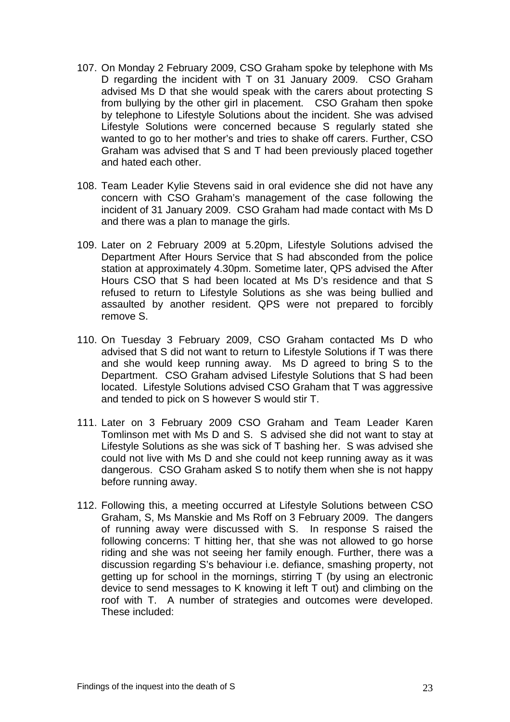- 107. On Monday 2 February 2009, CSO Graham spoke by telephone with Ms D regarding the incident with T on 31 January 2009. CSO Graham advised Ms D that she would speak with the carers about protecting S from bullying by the other girl in placement. CSO Graham then spoke by telephone to Lifestyle Solutions about the incident. She was advised Lifestyle Solutions were concerned because S regularly stated she wanted to go to her mother's and tries to shake off carers. Further, CSO Graham was advised that S and T had been previously placed together and hated each other.
- 108. Team Leader Kylie Stevens said in oral evidence she did not have any concern with CSO Graham's management of the case following the incident of 31 January 2009. CSO Graham had made contact with Ms D and there was a plan to manage the girls.
- 109. Later on 2 February 2009 at 5.20pm, Lifestyle Solutions advised the Department After Hours Service that S had absconded from the police station at approximately 4.30pm. Sometime later, QPS advised the After Hours CSO that S had been located at Ms D's residence and that S refused to return to Lifestyle Solutions as she was being bullied and assaulted by another resident. QPS were not prepared to forcibly remove S.
- 110. On Tuesday 3 February 2009, CSO Graham contacted Ms D who advised that S did not want to return to Lifestyle Solutions if T was there and she would keep running away. Ms D agreed to bring S to the Department. CSO Graham advised Lifestyle Solutions that S had been located. Lifestyle Solutions advised CSO Graham that T was aggressive and tended to pick on S however S would stir T.
- 111. Later on 3 February 2009 CSO Graham and Team Leader Karen Tomlinson met with Ms D and S. S advised she did not want to stay at Lifestyle Solutions as she was sick of T bashing her. S was advised she could not live with Ms D and she could not keep running away as it was dangerous. CSO Graham asked S to notify them when she is not happy before running away.
- 112. Following this, a meeting occurred at Lifestyle Solutions between CSO Graham, S, Ms Manskie and Ms Roff on 3 February 2009. The dangers of running away were discussed with S. In response S raised the following concerns: T hitting her, that she was not allowed to go horse riding and she was not seeing her family enough. Further, there was a discussion regarding S's behaviour i.e. defiance, smashing property, not getting up for school in the mornings, stirring T (by using an electronic device to send messages to K knowing it left T out) and climbing on the roof with T. A number of strategies and outcomes were developed. These included: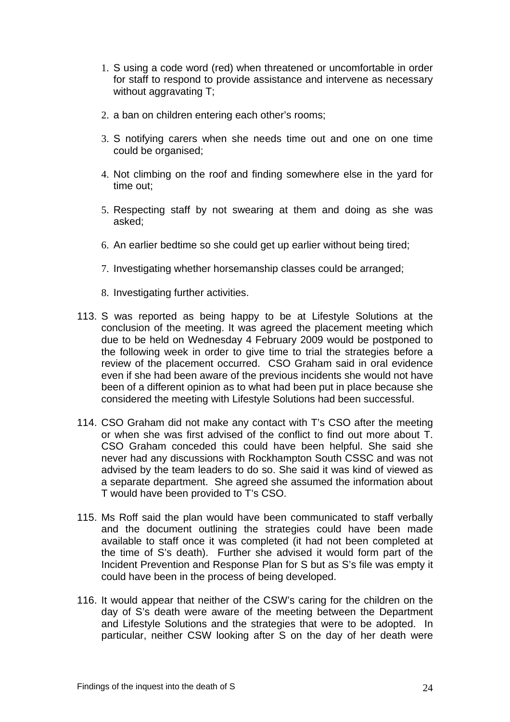- 1. S using a code word (red) when threatened or uncomfortable in order for staff to respond to provide assistance and intervene as necessary without aggravating T;
- 2. a ban on children entering each other's rooms;
- 3. S notifying carers when she needs time out and one on one time could be organised;
- 4. Not climbing on the roof and finding somewhere else in the yard for time out;
- 5. Respecting staff by not swearing at them and doing as she was asked;
- 6. An earlier bedtime so she could get up earlier without being tired;
- 7. Investigating whether horsemanship classes could be arranged;
- 8. Investigating further activities.
- 113. S was reported as being happy to be at Lifestyle Solutions at the conclusion of the meeting. It was agreed the placement meeting which due to be held on Wednesday 4 February 2009 would be postponed to the following week in order to give time to trial the strategies before a review of the placement occurred. CSO Graham said in oral evidence even if she had been aware of the previous incidents she would not have been of a different opinion as to what had been put in place because she considered the meeting with Lifestyle Solutions had been successful.
- 114. CSO Graham did not make any contact with T's CSO after the meeting or when she was first advised of the conflict to find out more about T. CSO Graham conceded this could have been helpful. She said she never had any discussions with Rockhampton South CSSC and was not advised by the team leaders to do so. She said it was kind of viewed as a separate department. She agreed she assumed the information about T would have been provided to T's CSO.
- 115. Ms Roff said the plan would have been communicated to staff verbally and the document outlining the strategies could have been made available to staff once it was completed (it had not been completed at the time of S's death). Further she advised it would form part of the Incident Prevention and Response Plan for S but as S's file was empty it could have been in the process of being developed.
- 116. It would appear that neither of the CSW's caring for the children on the day of S's death were aware of the meeting between the Department and Lifestyle Solutions and the strategies that were to be adopted. In particular, neither CSW looking after S on the day of her death were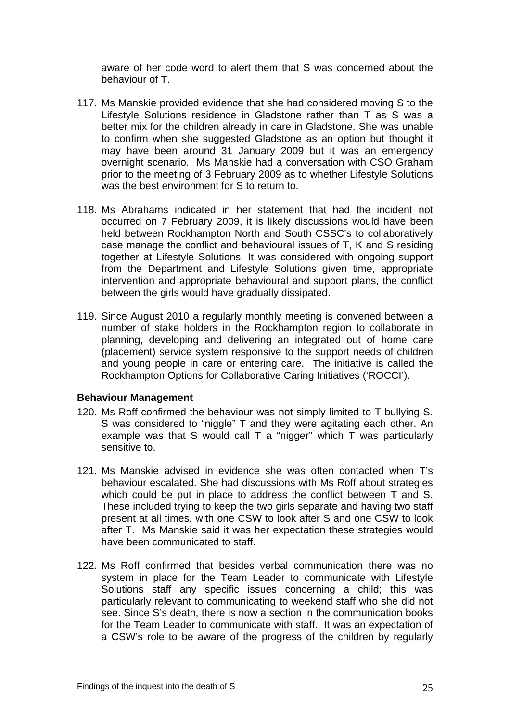aware of her code word to alert them that S was concerned about the behaviour of T.

- 117. Ms Manskie provided evidence that she had considered moving S to the Lifestyle Solutions residence in Gladstone rather than T as S was a better mix for the children already in care in Gladstone. She was unable to confirm when she suggested Gladstone as an option but thought it may have been around 31 January 2009 but it was an emergency overnight scenario. Ms Manskie had a conversation with CSO Graham prior to the meeting of 3 February 2009 as to whether Lifestyle Solutions was the best environment for S to return to.
- 118. Ms Abrahams indicated in her statement that had the incident not occurred on 7 February 2009, it is likely discussions would have been held between Rockhampton North and South CSSC's to collaboratively case manage the conflict and behavioural issues of T, K and S residing together at Lifestyle Solutions. It was considered with ongoing support from the Department and Lifestyle Solutions given time, appropriate intervention and appropriate behavioural and support plans, the conflict between the girls would have gradually dissipated.
- 119. Since August 2010 a regularly monthly meeting is convened between a number of stake holders in the Rockhampton region to collaborate in planning, developing and delivering an integrated out of home care (placement) service system responsive to the support needs of children and young people in care or entering care. The initiative is called the Rockhampton Options for Collaborative Caring Initiatives ('ROCCI').

### **Behaviour Management**

- 120. Ms Roff confirmed the behaviour was not simply limited to T bullying S. S was considered to "niggle" T and they were agitating each other. An example was that S would call T a "nigger" which T was particularly sensitive to.
- 121. Ms Manskie advised in evidence she was often contacted when T's behaviour escalated. She had discussions with Ms Roff about strategies which could be put in place to address the conflict between T and S. These included trying to keep the two girls separate and having two staff present at all times, with one CSW to look after S and one CSW to look after T. Ms Manskie said it was her expectation these strategies would have been communicated to staff.
- 122. Ms Roff confirmed that besides verbal communication there was no system in place for the Team Leader to communicate with Lifestyle Solutions staff any specific issues concerning a child; this was particularly relevant to communicating to weekend staff who she did not see. Since S's death, there is now a section in the communication books for the Team Leader to communicate with staff. It was an expectation of a CSW's role to be aware of the progress of the children by regularly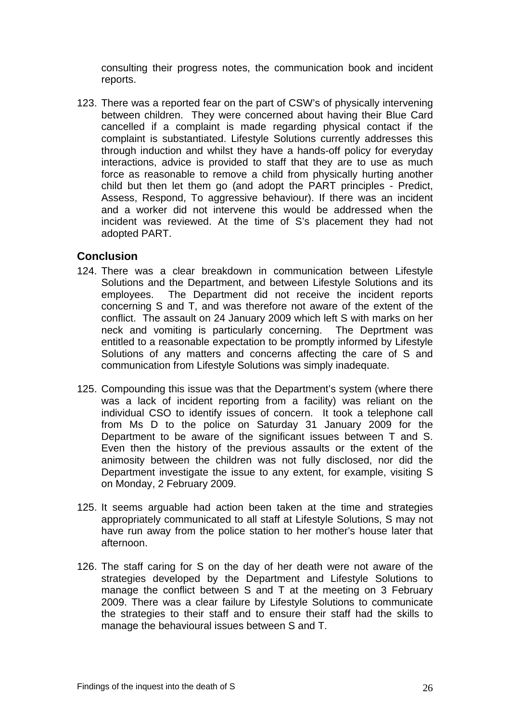consulting their progress notes, the communication book and incident reports.

123. There was a reported fear on the part of CSW's of physically intervening between children. They were concerned about having their Blue Card cancelled if a complaint is made regarding physical contact if the complaint is substantiated. Lifestyle Solutions currently addresses this through induction and whilst they have a hands-off policy for everyday interactions, advice is provided to staff that they are to use as much force as reasonable to remove a child from physically hurting another child but then let them go (and adopt the PART principles - Predict, Assess, Respond, To aggressive behaviour). If there was an incident and a worker did not intervene this would be addressed when the incident was reviewed. At the time of S's placement they had not adopted PART.

## **Conclusion**

- 124. There was a clear breakdown in communication between Lifestyle Solutions and the Department, and between Lifestyle Solutions and its employees. The Department did not receive the incident reports concerning S and T, and was therefore not aware of the extent of the conflict. The assault on 24 January 2009 which left S with marks on her neck and vomiting is particularly concerning. The Deprtment was entitled to a reasonable expectation to be promptly informed by Lifestyle Solutions of any matters and concerns affecting the care of S and communication from Lifestyle Solutions was simply inadequate.
- 125. Compounding this issue was that the Department's system (where there was a lack of incident reporting from a facility) was reliant on the individual CSO to identify issues of concern. It took a telephone call from Ms D to the police on Saturday 31 January 2009 for the Department to be aware of the significant issues between T and S. Even then the history of the previous assaults or the extent of the animosity between the children was not fully disclosed, nor did the Department investigate the issue to any extent, for example, visiting S on Monday, 2 February 2009.
- 125. It seems arguable had action been taken at the time and strategies appropriately communicated to all staff at Lifestyle Solutions, S may not have run away from the police station to her mother's house later that afternoon.
- 126. The staff caring for S on the day of her death were not aware of the strategies developed by the Department and Lifestyle Solutions to manage the conflict between S and T at the meeting on 3 February 2009. There was a clear failure by Lifestyle Solutions to communicate the strategies to their staff and to ensure their staff had the skills to manage the behavioural issues between S and T.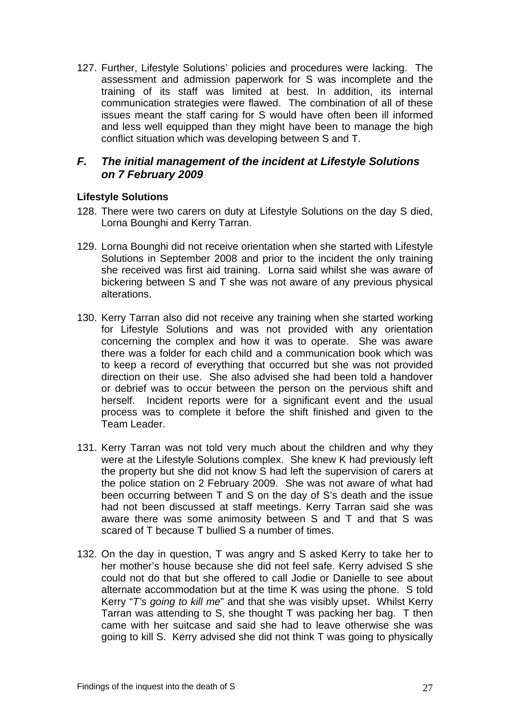127. Further, Lifestyle Solutions' policies and procedures were lacking. The assessment and admission paperwork for S was incomplete and the training of its staff was limited at best. In addition, its internal communication strategies were flawed. The combination of all of these issues meant the staff caring for S would have often been ill informed and less well equipped than they might have been to manage the high conflict situation which was developing between S and T.

# *F. The initial management of the incident at Lifestyle Solutions on 7 February 2009*

## **Lifestyle Solutions**

- 128. There were two carers on duty at Lifestyle Solutions on the day S died, Lorna Bounghi and Kerry Tarran.
- 129. Lorna Bounghi did not receive orientation when she started with Lifestyle Solutions in September 2008 and prior to the incident the only training she received was first aid training. Lorna said whilst she was aware of bickering between S and T she was not aware of any previous physical alterations.
- 130. Kerry Tarran also did not receive any training when she started working for Lifestyle Solutions and was not provided with any orientation concerning the complex and how it was to operate. She was aware there was a folder for each child and a communication book which was to keep a record of everything that occurred but she was not provided direction on their use. She also advised she had been told a handover or debrief was to occur between the person on the pervious shift and herself. Incident reports were for a significant event and the usual process was to complete it before the shift finished and given to the Team Leader.
- 131. Kerry Tarran was not told very much about the children and why they were at the Lifestyle Solutions complex. She knew K had previously left the property but she did not know S had left the supervision of carers at the police station on 2 February 2009. She was not aware of what had been occurring between T and S on the day of S's death and the issue had not been discussed at staff meetings. Kerry Tarran said she was aware there was some animosity between S and T and that S was scared of T because T bullied S a number of times.
- 132. On the day in question, T was angry and S asked Kerry to take her to her mother's house because she did not feel safe. Kerry advised S she could not do that but she offered to call Jodie or Danielle to see about alternate accommodation but at the time K was using the phone. S told Kerry "*T's going to kill me*" and that she was visibly upset. Whilst Kerry Tarran was attending to S, she thought T was packing her bag. T then came with her suitcase and said she had to leave otherwise she was going to kill S. Kerry advised she did not think T was going to physically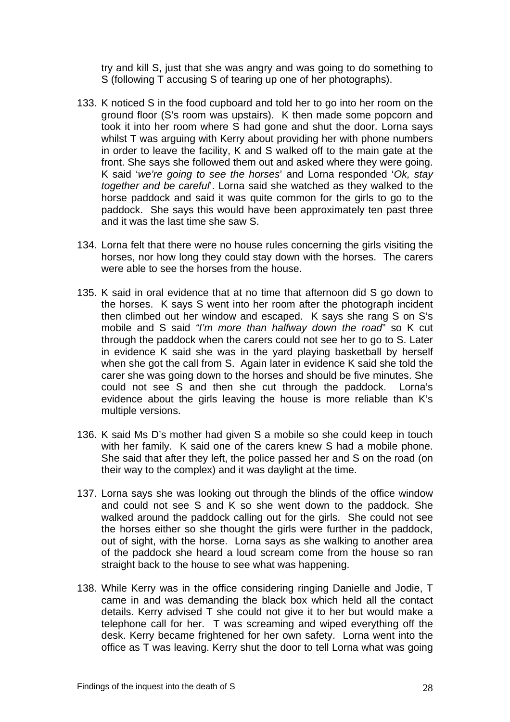try and kill S, just that she was angry and was going to do something to S (following T accusing S of tearing up one of her photographs).

- 133. K noticed S in the food cupboard and told her to go into her room on the ground floor (S's room was upstairs). K then made some popcorn and took it into her room where S had gone and shut the door. Lorna says whilst T was arguing with Kerry about providing her with phone numbers in order to leave the facility, K and S walked off to the main gate at the front. She says she followed them out and asked where they were going. K said '*we're going to see the horses*' and Lorna responded '*Ok, stay together and be careful*'. Lorna said she watched as they walked to the horse paddock and said it was quite common for the girls to go to the paddock. She says this would have been approximately ten past three and it was the last time she saw S.
- 134. Lorna felt that there were no house rules concerning the girls visiting the horses, nor how long they could stay down with the horses. The carers were able to see the horses from the house.
- 135. K said in oral evidence that at no time that afternoon did S go down to the horses. K says S went into her room after the photograph incident then climbed out her window and escaped. K says she rang S on S's mobile and S said *"I'm more than halfway down the road*" so K cut through the paddock when the carers could not see her to go to S. Later in evidence K said she was in the yard playing basketball by herself when she got the call from S. Again later in evidence K said she told the carer she was going down to the horses and should be five minutes. She could not see S and then she cut through the paddock. Lorna's evidence about the girls leaving the house is more reliable than K's multiple versions.
- 136. K said Ms D's mother had given S a mobile so she could keep in touch with her family. K said one of the carers knew S had a mobile phone. She said that after they left, the police passed her and S on the road (on their way to the complex) and it was daylight at the time.
- 137. Lorna says she was looking out through the blinds of the office window and could not see S and K so she went down to the paddock. She walked around the paddock calling out for the girls. She could not see the horses either so she thought the girls were further in the paddock, out of sight, with the horse. Lorna says as she walking to another area of the paddock she heard a loud scream come from the house so ran straight back to the house to see what was happening.
- 138. While Kerry was in the office considering ringing Danielle and Jodie, T came in and was demanding the black box which held all the contact details. Kerry advised T she could not give it to her but would make a telephone call for her. T was screaming and wiped everything off the desk. Kerry became frightened for her own safety. Lorna went into the office as T was leaving. Kerry shut the door to tell Lorna what was going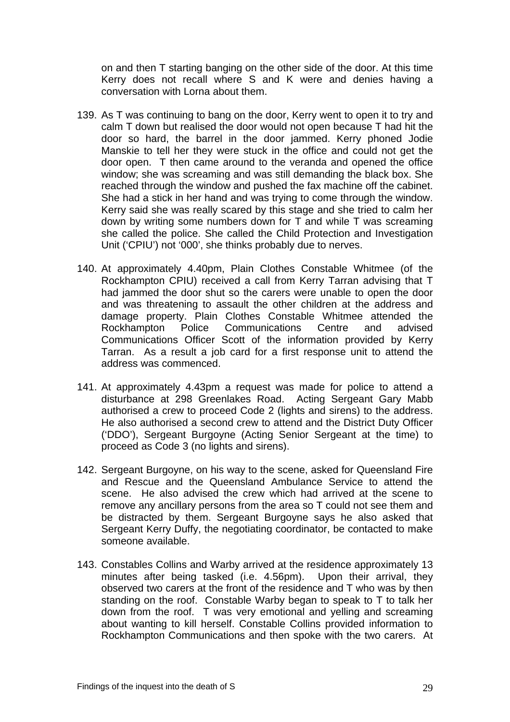on and then T starting banging on the other side of the door. At this time Kerry does not recall where S and K were and denies having a conversation with Lorna about them.

- 139. As T was continuing to bang on the door, Kerry went to open it to try and calm T down but realised the door would not open because T had hit the door so hard, the barrel in the door jammed. Kerry phoned Jodie Manskie to tell her they were stuck in the office and could not get the door open. T then came around to the veranda and opened the office window; she was screaming and was still demanding the black box. She reached through the window and pushed the fax machine off the cabinet. She had a stick in her hand and was trying to come through the window. Kerry said she was really scared by this stage and she tried to calm her down by writing some numbers down for T and while T was screaming she called the police. She called the Child Protection and Investigation Unit ('CPIU') not '000', she thinks probably due to nerves.
- 140. At approximately 4.40pm, Plain Clothes Constable Whitmee (of the Rockhampton CPIU) received a call from Kerry Tarran advising that T had jammed the door shut so the carers were unable to open the door and was threatening to assault the other children at the address and damage property. Plain Clothes Constable Whitmee attended the Rockhampton Police Communications Centre and advised Communications Officer Scott of the information provided by Kerry Tarran. As a result a job card for a first response unit to attend the address was commenced.
- 141. At approximately 4.43pm a request was made for police to attend a disturbance at 298 Greenlakes Road. Acting Sergeant Gary Mabb authorised a crew to proceed Code 2 (lights and sirens) to the address. He also authorised a second crew to attend and the District Duty Officer ('DDO'), Sergeant Burgoyne (Acting Senior Sergeant at the time) to proceed as Code 3 (no lights and sirens).
- 142. Sergeant Burgoyne, on his way to the scene, asked for Queensland Fire and Rescue and the Queensland Ambulance Service to attend the scene. He also advised the crew which had arrived at the scene to remove any ancillary persons from the area so T could not see them and be distracted by them. Sergeant Burgoyne says he also asked that Sergeant Kerry Duffy, the negotiating coordinator, be contacted to make someone available.
- 143. Constables Collins and Warby arrived at the residence approximately 13 minutes after being tasked (i.e. 4.56pm). Upon their arrival, they observed two carers at the front of the residence and T who was by then standing on the roof. Constable Warby began to speak to T to talk her down from the roof. T was very emotional and yelling and screaming about wanting to kill herself. Constable Collins provided information to Rockhampton Communications and then spoke with the two carers. At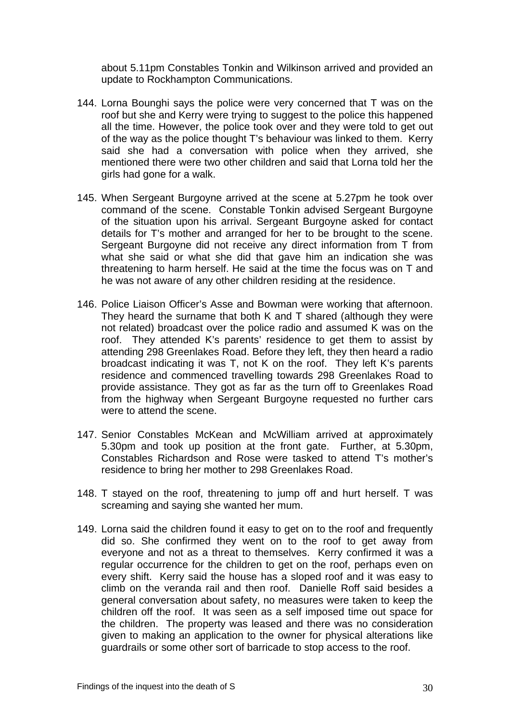about 5.11pm Constables Tonkin and Wilkinson arrived and provided an update to Rockhampton Communications.

- 144. Lorna Bounghi says the police were very concerned that T was on the roof but she and Kerry were trying to suggest to the police this happened all the time. However, the police took over and they were told to get out of the way as the police thought T's behaviour was linked to them. Kerry said she had a conversation with police when they arrived, she mentioned there were two other children and said that Lorna told her the girls had gone for a walk.
- 145. When Sergeant Burgoyne arrived at the scene at 5.27pm he took over command of the scene. Constable Tonkin advised Sergeant Burgoyne of the situation upon his arrival. Sergeant Burgoyne asked for contact details for T's mother and arranged for her to be brought to the scene. Sergeant Burgoyne did not receive any direct information from T from what she said or what she did that gave him an indication she was threatening to harm herself. He said at the time the focus was on T and he was not aware of any other children residing at the residence.
- 146. Police Liaison Officer's Asse and Bowman were working that afternoon. They heard the surname that both K and T shared (although they were not related) broadcast over the police radio and assumed K was on the roof. They attended K's parents' residence to get them to assist by attending 298 Greenlakes Road. Before they left, they then heard a radio broadcast indicating it was T, not K on the roof. They left K's parents residence and commenced travelling towards 298 Greenlakes Road to provide assistance. They got as far as the turn off to Greenlakes Road from the highway when Sergeant Burgoyne requested no further cars were to attend the scene.
- 147. Senior Constables McKean and McWilliam arrived at approximately 5.30pm and took up position at the front gate. Further, at 5.30pm, Constables Richardson and Rose were tasked to attend T's mother's residence to bring her mother to 298 Greenlakes Road.
- 148. T stayed on the roof, threatening to jump off and hurt herself. T was screaming and saying she wanted her mum.
- 149. Lorna said the children found it easy to get on to the roof and frequently did so. She confirmed they went on to the roof to get away from everyone and not as a threat to themselves. Kerry confirmed it was a regular occurrence for the children to get on the roof, perhaps even on every shift. Kerry said the house has a sloped roof and it was easy to climb on the veranda rail and then roof. Danielle Roff said besides a general conversation about safety, no measures were taken to keep the children off the roof. It was seen as a self imposed time out space for the children. The property was leased and there was no consideration given to making an application to the owner for physical alterations like guardrails or some other sort of barricade to stop access to the roof.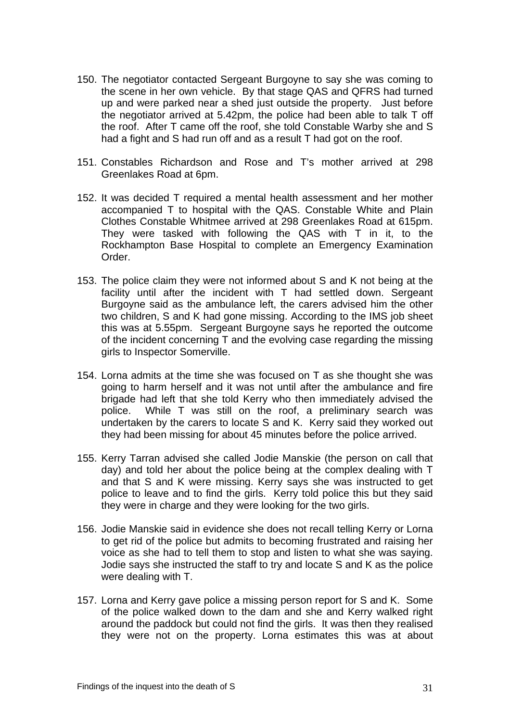- 150. The negotiator contacted Sergeant Burgoyne to say she was coming to the scene in her own vehicle. By that stage QAS and QFRS had turned up and were parked near a shed just outside the property. Just before the negotiator arrived at 5.42pm, the police had been able to talk T off the roof. After T came off the roof, she told Constable Warby she and S had a fight and S had run off and as a result T had got on the roof.
- 151. Constables Richardson and Rose and T's mother arrived at 298 Greenlakes Road at 6pm.
- 152. It was decided T required a mental health assessment and her mother accompanied T to hospital with the QAS. Constable White and Plain Clothes Constable Whitmee arrived at 298 Greenlakes Road at 615pm. They were tasked with following the QAS with T in it, to the Rockhampton Base Hospital to complete an Emergency Examination Order.
- 153. The police claim they were not informed about S and K not being at the facility until after the incident with T had settled down. Sergeant Burgoyne said as the ambulance left, the carers advised him the other two children, S and K had gone missing. According to the IMS job sheet this was at 5.55pm. Sergeant Burgoyne says he reported the outcome of the incident concerning T and the evolving case regarding the missing girls to Inspector Somerville.
- 154. Lorna admits at the time she was focused on T as she thought she was going to harm herself and it was not until after the ambulance and fire brigade had left that she told Kerry who then immediately advised the police. While T was still on the roof, a preliminary search was undertaken by the carers to locate S and K. Kerry said they worked out they had been missing for about 45 minutes before the police arrived.
- 155. Kerry Tarran advised she called Jodie Manskie (the person on call that day) and told her about the police being at the complex dealing with T and that S and K were missing. Kerry says she was instructed to get police to leave and to find the girls. Kerry told police this but they said they were in charge and they were looking for the two girls.
- 156. Jodie Manskie said in evidence she does not recall telling Kerry or Lorna to get rid of the police but admits to becoming frustrated and raising her voice as she had to tell them to stop and listen to what she was saying. Jodie says she instructed the staff to try and locate S and K as the police were dealing with T.
- 157. Lorna and Kerry gave police a missing person report for S and K. Some of the police walked down to the dam and she and Kerry walked right around the paddock but could not find the girls. It was then they realised they were not on the property. Lorna estimates this was at about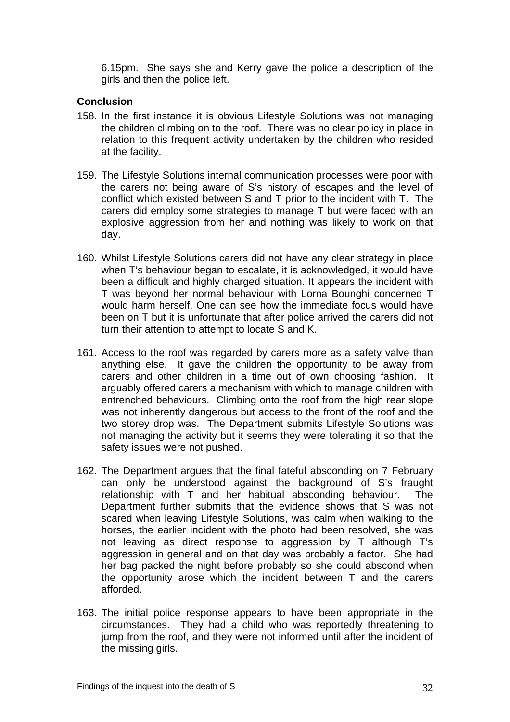6.15pm. She says she and Kerry gave the police a description of the girls and then the police left.

### **Conclusion**

- 158. In the first instance it is obvious Lifestyle Solutions was not managing the children climbing on to the roof. There was no clear policy in place in relation to this frequent activity undertaken by the children who resided at the facility.
- 159. The Lifestyle Solutions internal communication processes were poor with the carers not being aware of S's history of escapes and the level of conflict which existed between S and T prior to the incident with T. The carers did employ some strategies to manage T but were faced with an explosive aggression from her and nothing was likely to work on that day.
- 160. Whilst Lifestyle Solutions carers did not have any clear strategy in place when T's behaviour began to escalate, it is acknowledged, it would have been a difficult and highly charged situation. It appears the incident with T was beyond her normal behaviour with Lorna Bounghi concerned T would harm herself. One can see how the immediate focus would have been on T but it is unfortunate that after police arrived the carers did not turn their attention to attempt to locate S and K.
- 161. Access to the roof was regarded by carers more as a safety valve than anything else. It gave the children the opportunity to be away from carers and other children in a time out of own choosing fashion. It arguably offered carers a mechanism with which to manage children with entrenched behaviours. Climbing onto the roof from the high rear slope was not inherently dangerous but access to the front of the roof and the two storey drop was. The Department submits Lifestyle Solutions was not managing the activity but it seems they were tolerating it so that the safety issues were not pushed.
- 162. The Department argues that the final fateful absconding on 7 February can only be understood against the background of S's fraught relationship with T and her habitual absconding behaviour. The Department further submits that the evidence shows that S was not scared when leaving Lifestyle Solutions, was calm when walking to the horses, the earlier incident with the photo had been resolved, she was not leaving as direct response to aggression by T although T's aggression in general and on that day was probably a factor. She had her bag packed the night before probably so she could abscond when the opportunity arose which the incident between T and the carers afforded.
- 163. The initial police response appears to have been appropriate in the circumstances. They had a child who was reportedly threatening to jump from the roof, and they were not informed until after the incident of the missing girls.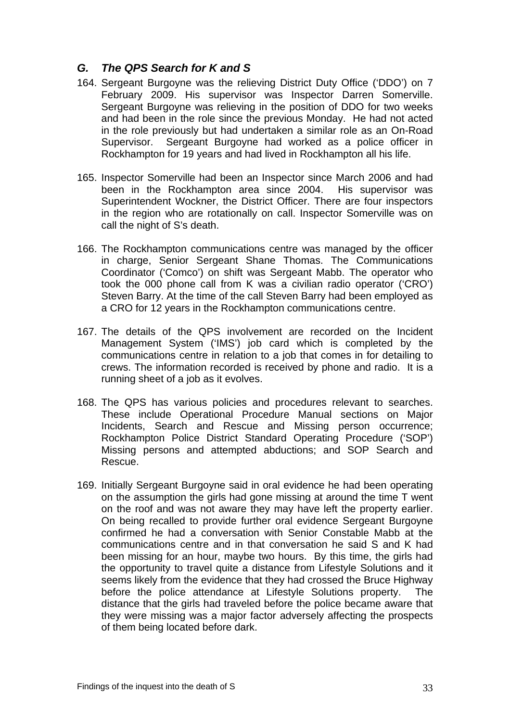# *G. The QPS Search for K and S*

- 164. Sergeant Burgoyne was the relieving District Duty Office ('DDO') on 7 February 2009. His supervisor was Inspector Darren Somerville. Sergeant Burgoyne was relieving in the position of DDO for two weeks and had been in the role since the previous Monday. He had not acted in the role previously but had undertaken a similar role as an On-Road Supervisor. Sergeant Burgoyne had worked as a police officer in Rockhampton for 19 years and had lived in Rockhampton all his life.
- 165. Inspector Somerville had been an Inspector since March 2006 and had been in the Rockhampton area since 2004. His supervisor was Superintendent Wockner, the District Officer. There are four inspectors in the region who are rotationally on call. Inspector Somerville was on call the night of S's death.
- 166. The Rockhampton communications centre was managed by the officer in charge, Senior Sergeant Shane Thomas. The Communications Coordinator ('Comco') on shift was Sergeant Mabb. The operator who took the 000 phone call from K was a civilian radio operator ('CRO') Steven Barry. At the time of the call Steven Barry had been employed as a CRO for 12 years in the Rockhampton communications centre.
- 167. The details of the QPS involvement are recorded on the Incident Management System ('IMS') job card which is completed by the communications centre in relation to a job that comes in for detailing to crews. The information recorded is received by phone and radio. It is a running sheet of a job as it evolves.
- 168. The QPS has various policies and procedures relevant to searches. These include Operational Procedure Manual sections on Major Incidents, Search and Rescue and Missing person occurrence; Rockhampton Police District Standard Operating Procedure ('SOP') Missing persons and attempted abductions; and SOP Search and Rescue.
- 169. Initially Sergeant Burgoyne said in oral evidence he had been operating on the assumption the girls had gone missing at around the time T went on the roof and was not aware they may have left the property earlier. On being recalled to provide further oral evidence Sergeant Burgoyne confirmed he had a conversation with Senior Constable Mabb at the communications centre and in that conversation he said S and K had been missing for an hour, maybe two hours. By this time, the girls had the opportunity to travel quite a distance from Lifestyle Solutions and it seems likely from the evidence that they had crossed the Bruce Highway before the police attendance at Lifestyle Solutions property. The distance that the girls had traveled before the police became aware that they were missing was a major factor adversely affecting the prospects of them being located before dark.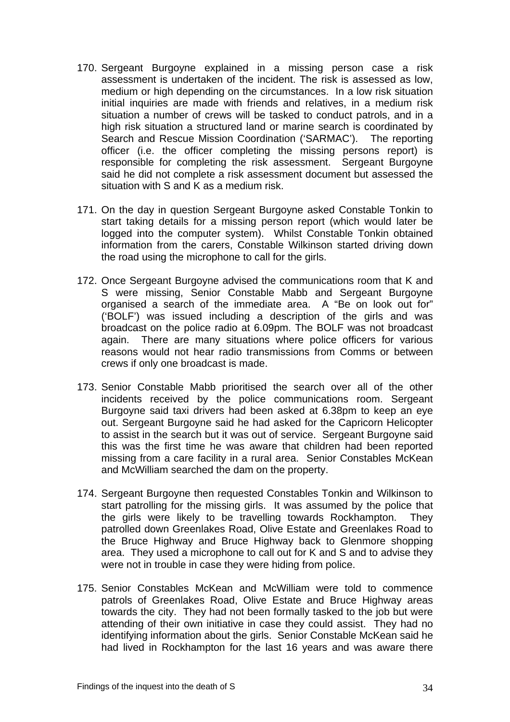- 170. Sergeant Burgoyne explained in a missing person case a risk assessment is undertaken of the incident. The risk is assessed as low, medium or high depending on the circumstances. In a low risk situation initial inquiries are made with friends and relatives, in a medium risk situation a number of crews will be tasked to conduct patrols, and in a high risk situation a structured land or marine search is coordinated by Search and Rescue Mission Coordination ('SARMAC'). The reporting officer (i.e. the officer completing the missing persons report) is responsible for completing the risk assessment. Sergeant Burgoyne said he did not complete a risk assessment document but assessed the situation with S and K as a medium risk.
- 171. On the day in question Sergeant Burgoyne asked Constable Tonkin to start taking details for a missing person report (which would later be logged into the computer system). Whilst Constable Tonkin obtained information from the carers, Constable Wilkinson started driving down the road using the microphone to call for the girls.
- 172. Once Sergeant Burgoyne advised the communications room that K and S were missing, Senior Constable Mabb and Sergeant Burgoyne organised a search of the immediate area. A "Be on look out for" ('BOLF') was issued including a description of the girls and was broadcast on the police radio at 6.09pm. The BOLF was not broadcast again. There are many situations where police officers for various reasons would not hear radio transmissions from Comms or between crews if only one broadcast is made.
- 173. Senior Constable Mabb prioritised the search over all of the other incidents received by the police communications room. Sergeant Burgoyne said taxi drivers had been asked at 6.38pm to keep an eye out. Sergeant Burgoyne said he had asked for the Capricorn Helicopter to assist in the search but it was out of service. Sergeant Burgoyne said this was the first time he was aware that children had been reported missing from a care facility in a rural area. Senior Constables McKean and McWilliam searched the dam on the property.
- 174. Sergeant Burgoyne then requested Constables Tonkin and Wilkinson to start patrolling for the missing girls. It was assumed by the police that the girls were likely to be travelling towards Rockhampton. They patrolled down Greenlakes Road, Olive Estate and Greenlakes Road to the Bruce Highway and Bruce Highway back to Glenmore shopping area. They used a microphone to call out for K and S and to advise they were not in trouble in case they were hiding from police.
- 175. Senior Constables McKean and McWilliam were told to commence patrols of Greenlakes Road, Olive Estate and Bruce Highway areas towards the city. They had not been formally tasked to the job but were attending of their own initiative in case they could assist. They had no identifying information about the girls. Senior Constable McKean said he had lived in Rockhampton for the last 16 years and was aware there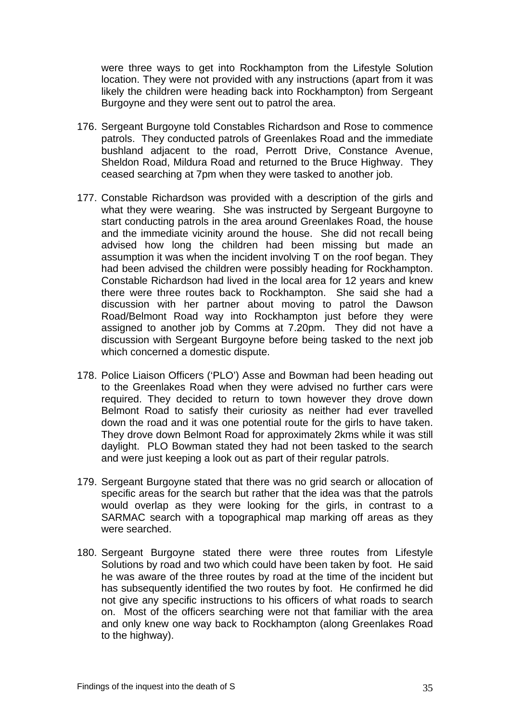were three ways to get into Rockhampton from the Lifestyle Solution location. They were not provided with any instructions (apart from it was likely the children were heading back into Rockhampton) from Sergeant Burgoyne and they were sent out to patrol the area.

- 176. Sergeant Burgoyne told Constables Richardson and Rose to commence patrols. They conducted patrols of Greenlakes Road and the immediate bushland adjacent to the road, Perrott Drive, Constance Avenue, Sheldon Road, Mildura Road and returned to the Bruce Highway. They ceased searching at 7pm when they were tasked to another job.
- 177. Constable Richardson was provided with a description of the girls and what they were wearing. She was instructed by Sergeant Burgoyne to start conducting patrols in the area around Greenlakes Road, the house and the immediate vicinity around the house. She did not recall being advised how long the children had been missing but made an assumption it was when the incident involving T on the roof began. They had been advised the children were possibly heading for Rockhampton. Constable Richardson had lived in the local area for 12 years and knew there were three routes back to Rockhampton. She said she had a discussion with her partner about moving to patrol the Dawson Road/Belmont Road way into Rockhampton just before they were assigned to another job by Comms at 7.20pm. They did not have a discussion with Sergeant Burgoyne before being tasked to the next job which concerned a domestic dispute.
- 178. Police Liaison Officers ('PLO') Asse and Bowman had been heading out to the Greenlakes Road when they were advised no further cars were required. They decided to return to town however they drove down Belmont Road to satisfy their curiosity as neither had ever travelled down the road and it was one potential route for the girls to have taken. They drove down Belmont Road for approximately 2kms while it was still daylight. PLO Bowman stated they had not been tasked to the search and were just keeping a look out as part of their regular patrols.
- 179. Sergeant Burgoyne stated that there was no grid search or allocation of specific areas for the search but rather that the idea was that the patrols would overlap as they were looking for the girls, in contrast to a SARMAC search with a topographical map marking off areas as they were searched.
- 180. Sergeant Burgoyne stated there were three routes from Lifestyle Solutions by road and two which could have been taken by foot. He said he was aware of the three routes by road at the time of the incident but has subsequently identified the two routes by foot. He confirmed he did not give any specific instructions to his officers of what roads to search on. Most of the officers searching were not that familiar with the area and only knew one way back to Rockhampton (along Greenlakes Road to the highway).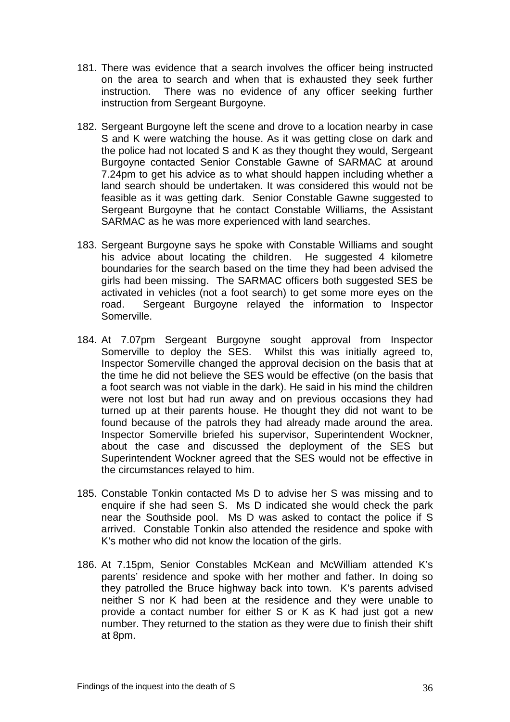- 181. There was evidence that a search involves the officer being instructed on the area to search and when that is exhausted they seek further instruction. There was no evidence of any officer seeking further instruction from Sergeant Burgoyne.
- 182. Sergeant Burgoyne left the scene and drove to a location nearby in case S and K were watching the house. As it was getting close on dark and the police had not located S and K as they thought they would, Sergeant Burgoyne contacted Senior Constable Gawne of SARMAC at around 7.24pm to get his advice as to what should happen including whether a land search should be undertaken. It was considered this would not be feasible as it was getting dark. Senior Constable Gawne suggested to Sergeant Burgoyne that he contact Constable Williams, the Assistant SARMAC as he was more experienced with land searches.
- 183. Sergeant Burgoyne says he spoke with Constable Williams and sought his advice about locating the children. He suggested 4 kilometre boundaries for the search based on the time they had been advised the girls had been missing. The SARMAC officers both suggested SES be activated in vehicles (not a foot search) to get some more eyes on the road. Sergeant Burgoyne relayed the information to Inspector Somerville.
- 184. At 7.07pm Sergeant Burgoyne sought approval from Inspector Somerville to deploy the SES. Whilst this was initially agreed to, Inspector Somerville changed the approval decision on the basis that at the time he did not believe the SES would be effective (on the basis that a foot search was not viable in the dark). He said in his mind the children were not lost but had run away and on previous occasions they had turned up at their parents house. He thought they did not want to be found because of the patrols they had already made around the area. Inspector Somerville briefed his supervisor, Superintendent Wockner, about the case and discussed the deployment of the SES but Superintendent Wockner agreed that the SES would not be effective in the circumstances relayed to him.
- 185. Constable Tonkin contacted Ms D to advise her S was missing and to enquire if she had seen S. Ms D indicated she would check the park near the Southside pool. Ms D was asked to contact the police if S arrived. Constable Tonkin also attended the residence and spoke with K's mother who did not know the location of the girls.
- 186. At 7.15pm, Senior Constables McKean and McWilliam attended K's parents' residence and spoke with her mother and father. In doing so they patrolled the Bruce highway back into town. K's parents advised neither S nor K had been at the residence and they were unable to provide a contact number for either S or K as K had just got a new number. They returned to the station as they were due to finish their shift at 8pm.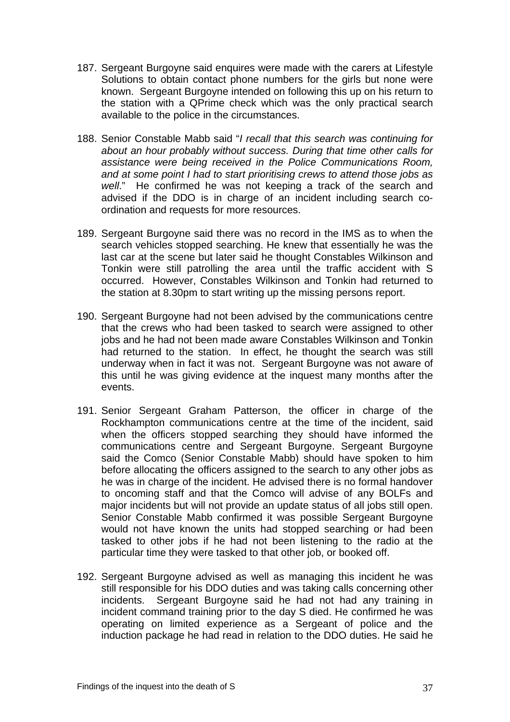- 187. Sergeant Burgoyne said enquires were made with the carers at Lifestyle Solutions to obtain contact phone numbers for the girls but none were known. Sergeant Burgoyne intended on following this up on his return to the station with a QPrime check which was the only practical search available to the police in the circumstances.
- 188. Senior Constable Mabb said "*I recall that this search was continuing for about an hour probably without success. During that time other calls for assistance were being received in the Police Communications Room, and at some point I had to start prioritising crews to attend those jobs as well*." He confirmed he was not keeping a track of the search and advised if the DDO is in charge of an incident including search coordination and requests for more resources.
- 189. Sergeant Burgoyne said there was no record in the IMS as to when the search vehicles stopped searching. He knew that essentially he was the last car at the scene but later said he thought Constables Wilkinson and Tonkin were still patrolling the area until the traffic accident with S occurred. However, Constables Wilkinson and Tonkin had returned to the station at 8.30pm to start writing up the missing persons report.
- 190. Sergeant Burgoyne had not been advised by the communications centre that the crews who had been tasked to search were assigned to other jobs and he had not been made aware Constables Wilkinson and Tonkin had returned to the station. In effect, he thought the search was still underway when in fact it was not. Sergeant Burgoyne was not aware of this until he was giving evidence at the inquest many months after the events.
- 191. Senior Sergeant Graham Patterson, the officer in charge of the Rockhampton communications centre at the time of the incident, said when the officers stopped searching they should have informed the communications centre and Sergeant Burgoyne. Sergeant Burgoyne said the Comco (Senior Constable Mabb) should have spoken to him before allocating the officers assigned to the search to any other jobs as he was in charge of the incident. He advised there is no formal handover to oncoming staff and that the Comco will advise of any BOLFs and major incidents but will not provide an update status of all jobs still open. Senior Constable Mabb confirmed it was possible Sergeant Burgoyne would not have known the units had stopped searching or had been tasked to other jobs if he had not been listening to the radio at the particular time they were tasked to that other job, or booked off.
- 192. Sergeant Burgoyne advised as well as managing this incident he was still responsible for his DDO duties and was taking calls concerning other incidents. Sergeant Burgoyne said he had not had any training in incident command training prior to the day S died. He confirmed he was operating on limited experience as a Sergeant of police and the induction package he had read in relation to the DDO duties. He said he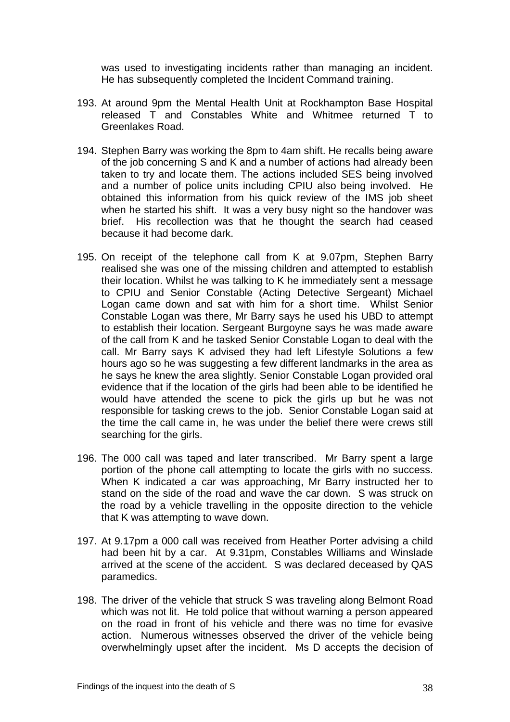was used to investigating incidents rather than managing an incident. He has subsequently completed the Incident Command training.

- 193. At around 9pm the Mental Health Unit at Rockhampton Base Hospital released T and Constables White and Whitmee returned T to Greenlakes Road.
- 194. Stephen Barry was working the 8pm to 4am shift. He recalls being aware of the job concerning S and K and a number of actions had already been taken to try and locate them. The actions included SES being involved and a number of police units including CPIU also being involved. He obtained this information from his quick review of the IMS job sheet when he started his shift. It was a very busy night so the handover was brief. His recollection was that he thought the search had ceased because it had become dark.
- 195. On receipt of the telephone call from K at 9.07pm, Stephen Barry realised she was one of the missing children and attempted to establish their location. Whilst he was talking to K he immediately sent a message to CPIU and Senior Constable (Acting Detective Sergeant) Michael Logan came down and sat with him for a short time. Whilst Senior Constable Logan was there, Mr Barry says he used his UBD to attempt to establish their location. Sergeant Burgoyne says he was made aware of the call from K and he tasked Senior Constable Logan to deal with the call. Mr Barry says K advised they had left Lifestyle Solutions a few hours ago so he was suggesting a few different landmarks in the area as he says he knew the area slightly. Senior Constable Logan provided oral evidence that if the location of the girls had been able to be identified he would have attended the scene to pick the girls up but he was not responsible for tasking crews to the job. Senior Constable Logan said at the time the call came in, he was under the belief there were crews still searching for the girls.
- 196. The 000 call was taped and later transcribed. Mr Barry spent a large portion of the phone call attempting to locate the girls with no success. When K indicated a car was approaching, Mr Barry instructed her to stand on the side of the road and wave the car down. S was struck on the road by a vehicle travelling in the opposite direction to the vehicle that K was attempting to wave down.
- 197. At 9.17pm a 000 call was received from Heather Porter advising a child had been hit by a car. At 9.31pm, Constables Williams and Winslade arrived at the scene of the accident. S was declared deceased by QAS paramedics.
- 198. The driver of the vehicle that struck S was traveling along Belmont Road which was not lit. He told police that without warning a person appeared on the road in front of his vehicle and there was no time for evasive action. Numerous witnesses observed the driver of the vehicle being overwhelmingly upset after the incident. Ms D accepts the decision of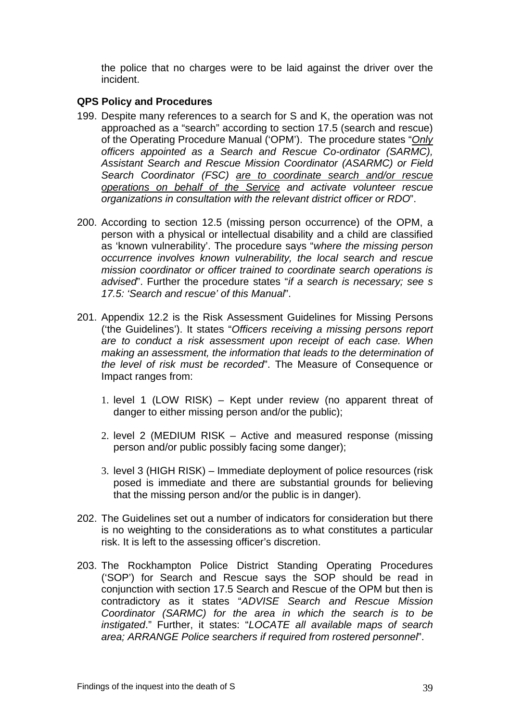the police that no charges were to be laid against the driver over the incident.

#### **QPS Policy and Procedures**

- 199. Despite many references to a search for S and K, the operation was not approached as a "search" according to section 17.5 (search and rescue) of the Operating Procedure Manual ('OPM'). The procedure states "*Only officers appointed as a Search and Rescue Co-ordinator (SARMC), Assistant Search and Rescue Mission Coordinator (ASARMC) or Field Search Coordinator (FSC) are to coordinate search and/or rescue operations on behalf of the Service and activate volunteer rescue organizations in consultation with the relevant district officer or RDO*".
- 200. According to section 12.5 (missing person occurrence) of the OPM, a person with a physical or intellectual disability and a child are classified as 'known vulnerability'. The procedure says "*where the missing person occurrence involves known vulnerability, the local search and rescue mission coordinator or officer trained to coordinate search operations is advised*". Further the procedure states "*if a search is necessary; see s 17.5: 'Search and rescue' of this Manual*".
- 201. Appendix 12.2 is the Risk Assessment Guidelines for Missing Persons ('the Guidelines'). It states "*Officers receiving a missing persons report are to conduct a risk assessment upon receipt of each case. When making an assessment, the information that leads to the determination of the level of risk must be recorded*". The Measure of Consequence or Impact ranges from:
	- 1. level 1 (LOW RISK) Kept under review (no apparent threat of danger to either missing person and/or the public);
	- 2. level 2 (MEDIUM RISK Active and measured response (missing person and/or public possibly facing some danger);
	- 3. level 3 (HIGH RISK) Immediate deployment of police resources (risk posed is immediate and there are substantial grounds for believing that the missing person and/or the public is in danger).
- 202. The Guidelines set out a number of indicators for consideration but there is no weighting to the considerations as to what constitutes a particular risk. It is left to the assessing officer's discretion.
- 203. The Rockhampton Police District Standing Operating Procedures ('SOP') for Search and Rescue says the SOP should be read in conjunction with section 17.5 Search and Rescue of the OPM but then is contradictory as it states "*ADVISE Search and Rescue Mission Coordinator (SARMC) for the area in which the search is to be instigated*." Further, it states: "*LOCATE all available maps of search area; ARRANGE Police searchers if required from rostered personnel*".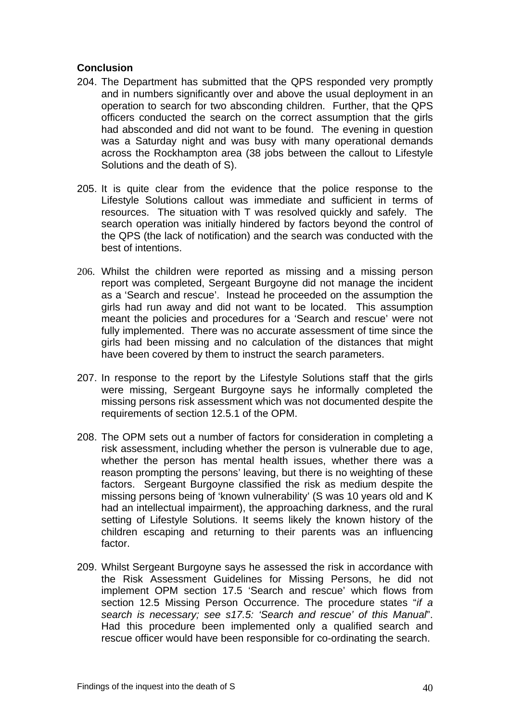## **Conclusion**

- 204. The Department has submitted that the QPS responded very promptly and in numbers significantly over and above the usual deployment in an operation to search for two absconding children. Further, that the QPS officers conducted the search on the correct assumption that the girls had absconded and did not want to be found. The evening in question was a Saturday night and was busy with many operational demands across the Rockhampton area (38 jobs between the callout to Lifestyle Solutions and the death of S).
- 205. It is quite clear from the evidence that the police response to the Lifestyle Solutions callout was immediate and sufficient in terms of resources. The situation with T was resolved quickly and safely. The search operation was initially hindered by factors beyond the control of the QPS (the lack of notification) and the search was conducted with the best of intentions.
- 206. Whilst the children were reported as missing and a missing person report was completed, Sergeant Burgoyne did not manage the incident as a 'Search and rescue'. Instead he proceeded on the assumption the girls had run away and did not want to be located. This assumption meant the policies and procedures for a 'Search and rescue' were not fully implemented. There was no accurate assessment of time since the girls had been missing and no calculation of the distances that might have been covered by them to instruct the search parameters.
- 207. In response to the report by the Lifestyle Solutions staff that the girls were missing, Sergeant Burgoyne says he informally completed the missing persons risk assessment which was not documented despite the requirements of section 12.5.1 of the OPM.
- 208. The OPM sets out a number of factors for consideration in completing a risk assessment, including whether the person is vulnerable due to age, whether the person has mental health issues, whether there was a reason prompting the persons' leaving, but there is no weighting of these factors. Sergeant Burgoyne classified the risk as medium despite the missing persons being of 'known vulnerability' (S was 10 years old and K had an intellectual impairment), the approaching darkness, and the rural setting of Lifestyle Solutions. It seems likely the known history of the children escaping and returning to their parents was an influencing factor.
- 209. Whilst Sergeant Burgoyne says he assessed the risk in accordance with the Risk Assessment Guidelines for Missing Persons, he did not implement OPM section 17.5 'Search and rescue' which flows from section 12.5 Missing Person Occurrence. The procedure states "*if a search is necessary; see s17.5: 'Search and rescue' of this Manual*". Had this procedure been implemented only a qualified search and rescue officer would have been responsible for co-ordinating the search.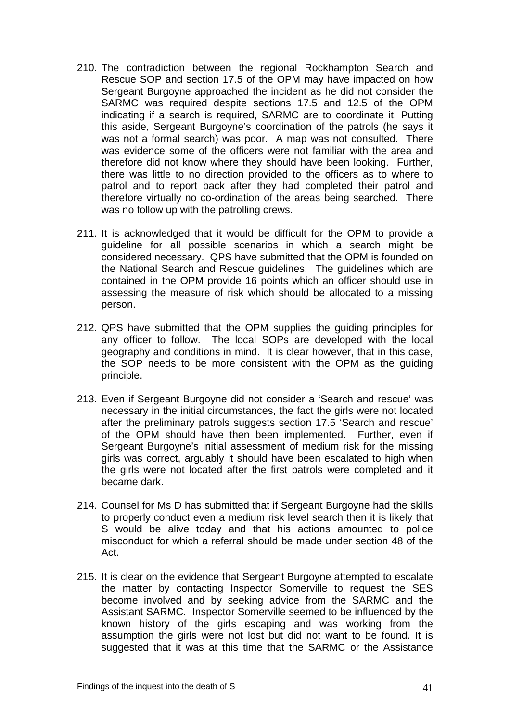- 210. The contradiction between the regional Rockhampton Search and Rescue SOP and section 17.5 of the OPM may have impacted on how Sergeant Burgoyne approached the incident as he did not consider the SARMC was required despite sections 17.5 and 12.5 of the OPM indicating if a search is required, SARMC are to coordinate it. Putting this aside, Sergeant Burgoyne's coordination of the patrols (he says it was not a formal search) was poor. A map was not consulted. There was evidence some of the officers were not familiar with the area and therefore did not know where they should have been looking. Further, there was little to no direction provided to the officers as to where to patrol and to report back after they had completed their patrol and therefore virtually no co-ordination of the areas being searched. There was no follow up with the patrolling crews.
- 211. It is acknowledged that it would be difficult for the OPM to provide a guideline for all possible scenarios in which a search might be considered necessary. QPS have submitted that the OPM is founded on the National Search and Rescue guidelines. The guidelines which are contained in the OPM provide 16 points which an officer should use in assessing the measure of risk which should be allocated to a missing person.
- 212. QPS have submitted that the OPM supplies the guiding principles for any officer to follow. The local SOPs are developed with the local geography and conditions in mind. It is clear however, that in this case, the SOP needs to be more consistent with the OPM as the guiding principle.
- 213. Even if Sergeant Burgoyne did not consider a 'Search and rescue' was necessary in the initial circumstances, the fact the girls were not located after the preliminary patrols suggests section 17.5 'Search and rescue' of the OPM should have then been implemented. Further, even if Sergeant Burgoyne's initial assessment of medium risk for the missing girls was correct, arguably it should have been escalated to high when the girls were not located after the first patrols were completed and it became dark.
- 214. Counsel for Ms D has submitted that if Sergeant Burgoyne had the skills to properly conduct even a medium risk level search then it is likely that S would be alive today and that his actions amounted to police misconduct for which a referral should be made under section 48 of the Act.
- 215. It is clear on the evidence that Sergeant Burgoyne attempted to escalate the matter by contacting Inspector Somerville to request the SES become involved and by seeking advice from the SARMC and the Assistant SARMC. Inspector Somerville seemed to be influenced by the known history of the girls escaping and was working from the assumption the girls were not lost but did not want to be found. It is suggested that it was at this time that the SARMC or the Assistance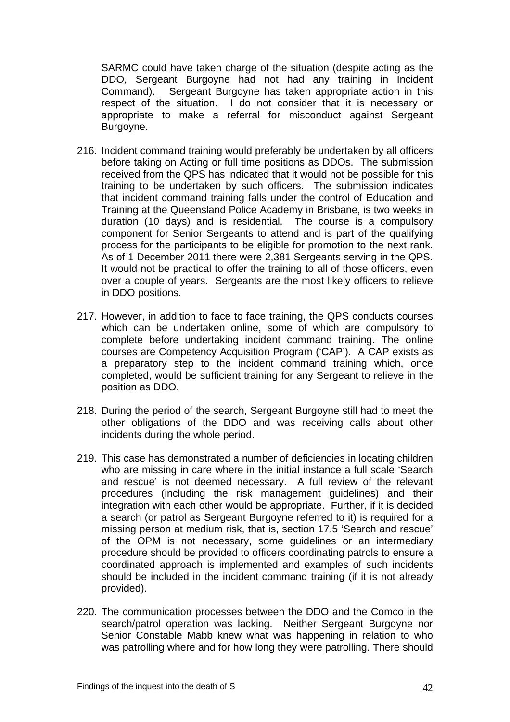SARMC could have taken charge of the situation (despite acting as the DDO, Sergeant Burgoyne had not had any training in Incident Command). Sergeant Burgoyne has taken appropriate action in this respect of the situation. I do not consider that it is necessary or appropriate to make a referral for misconduct against Sergeant Burgoyne.

- 216. Incident command training would preferably be undertaken by all officers before taking on Acting or full time positions as DDOs. The submission received from the QPS has indicated that it would not be possible for this training to be undertaken by such officers. The submission indicates that incident command training falls under the control of Education and Training at the Queensland Police Academy in Brisbane, is two weeks in duration (10 days) and is residential. The course is a compulsory component for Senior Sergeants to attend and is part of the qualifying process for the participants to be eligible for promotion to the next rank. As of 1 December 2011 there were 2,381 Sergeants serving in the QPS. It would not be practical to offer the training to all of those officers, even over a couple of years. Sergeants are the most likely officers to relieve in DDO positions.
- 217. However, in addition to face to face training, the QPS conducts courses which can be undertaken online, some of which are compulsory to complete before undertaking incident command training. The online courses are Competency Acquisition Program ('CAP'). A CAP exists as a preparatory step to the incident command training which, once completed, would be sufficient training for any Sergeant to relieve in the position as DDO.
- 218. During the period of the search, Sergeant Burgoyne still had to meet the other obligations of the DDO and was receiving calls about other incidents during the whole period.
- 219. This case has demonstrated a number of deficiencies in locating children who are missing in care where in the initial instance a full scale 'Search and rescue' is not deemed necessary. A full review of the relevant procedures (including the risk management guidelines) and their integration with each other would be appropriate. Further, if it is decided a search (or patrol as Sergeant Burgoyne referred to it) is required for a missing person at medium risk, that is, section 17.5 'Search and rescue' of the OPM is not necessary, some guidelines or an intermediary procedure should be provided to officers coordinating patrols to ensure a coordinated approach is implemented and examples of such incidents should be included in the incident command training (if it is not already provided).
- 220. The communication processes between the DDO and the Comco in the search/patrol operation was lacking. Neither Sergeant Burgoyne nor Senior Constable Mabb knew what was happening in relation to who was patrolling where and for how long they were patrolling. There should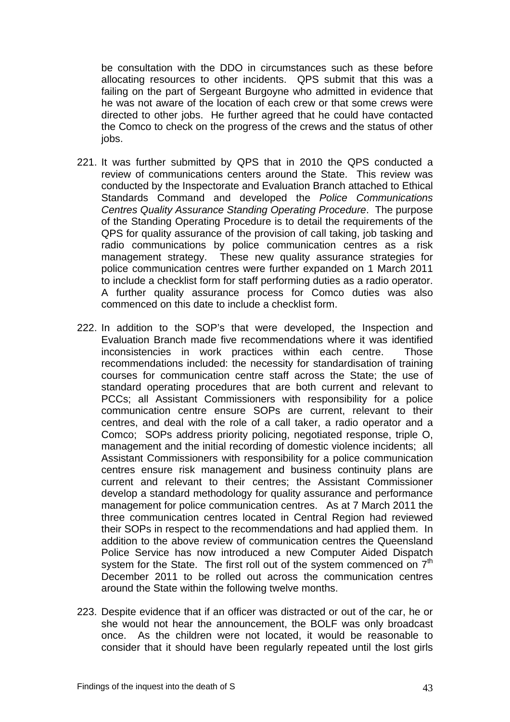be consultation with the DDO in circumstances such as these before allocating resources to other incidents. QPS submit that this was a failing on the part of Sergeant Burgoyne who admitted in evidence that he was not aware of the location of each crew or that some crews were directed to other jobs. He further agreed that he could have contacted the Comco to check on the progress of the crews and the status of other jobs.

- 221. It was further submitted by QPS that in 2010 the QPS conducted a review of communications centers around the State. This review was conducted by the Inspectorate and Evaluation Branch attached to Ethical Standards Command and developed the *Police Communications Centres Quality Assurance Standing Operating Procedure*. The purpose of the Standing Operating Procedure is to detail the requirements of the QPS for quality assurance of the provision of call taking, job tasking and radio communications by police communication centres as a risk management strategy. These new quality assurance strategies for police communication centres were further expanded on 1 March 2011 to include a checklist form for staff performing duties as a radio operator. A further quality assurance process for Comco duties was also commenced on this date to include a checklist form.
- 222. In addition to the SOP's that were developed, the Inspection and Evaluation Branch made five recommendations where it was identified inconsistencies in work practices within each centre. Those recommendations included: the necessity for standardisation of training courses for communication centre staff across the State; the use of standard operating procedures that are both current and relevant to PCCs; all Assistant Commissioners with responsibility for a police communication centre ensure SOPs are current, relevant to their centres, and deal with the role of a call taker, a radio operator and a Comco; SOPs address priority policing, negotiated response, triple O, management and the initial recording of domestic violence incidents; all Assistant Commissioners with responsibility for a police communication centres ensure risk management and business continuity plans are current and relevant to their centres; the Assistant Commissioner develop a standard methodology for quality assurance and performance management for police communication centres. As at 7 March 2011 the three communication centres located in Central Region had reviewed their SOPs in respect to the recommendations and had applied them. In addition to the above review of communication centres the Queensland Police Service has now introduced a new Computer Aided Dispatch system for the State. The first roll out of the system commenced on  $7<sup>th</sup>$ December 2011 to be rolled out across the communication centres around the State within the following twelve months.
- 223. Despite evidence that if an officer was distracted or out of the car, he or she would not hear the announcement, the BOLF was only broadcast once. As the children were not located, it would be reasonable to consider that it should have been regularly repeated until the lost girls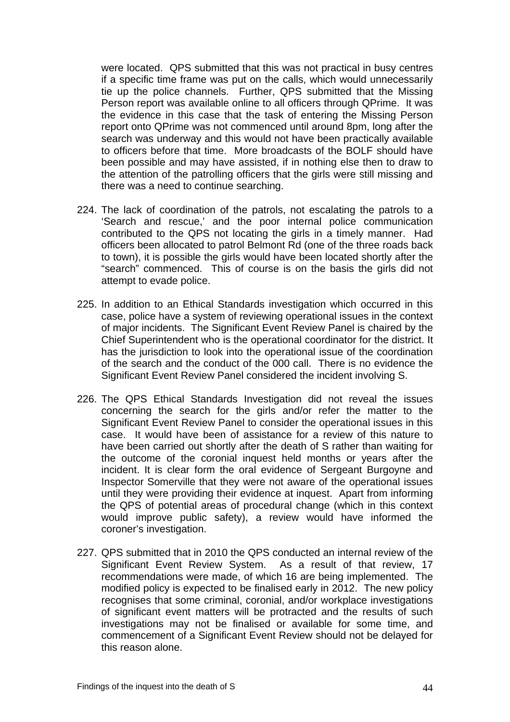were located. QPS submitted that this was not practical in busy centres if a specific time frame was put on the calls, which would unnecessarily tie up the police channels. Further, QPS submitted that the Missing Person report was available online to all officers through QPrime. It was the evidence in this case that the task of entering the Missing Person report onto QPrime was not commenced until around 8pm, long after the search was underway and this would not have been practically available to officers before that time. More broadcasts of the BOLF should have been possible and may have assisted, if in nothing else then to draw to the attention of the patrolling officers that the girls were still missing and there was a need to continue searching.

- 224. The lack of coordination of the patrols, not escalating the patrols to a 'Search and rescue,' and the poor internal police communication contributed to the QPS not locating the girls in a timely manner. Had officers been allocated to patrol Belmont Rd (one of the three roads back to town), it is possible the girls would have been located shortly after the "search" commenced. This of course is on the basis the girls did not attempt to evade police.
- 225. In addition to an Ethical Standards investigation which occurred in this case, police have a system of reviewing operational issues in the context of major incidents. The Significant Event Review Panel is chaired by the Chief Superintendent who is the operational coordinator for the district. It has the jurisdiction to look into the operational issue of the coordination of the search and the conduct of the 000 call. There is no evidence the Significant Event Review Panel considered the incident involving S.
- 226. The QPS Ethical Standards Investigation did not reveal the issues concerning the search for the girls and/or refer the matter to the Significant Event Review Panel to consider the operational issues in this case. It would have been of assistance for a review of this nature to have been carried out shortly after the death of S rather than waiting for the outcome of the coronial inquest held months or years after the incident. It is clear form the oral evidence of Sergeant Burgoyne and Inspector Somerville that they were not aware of the operational issues until they were providing their evidence at inquest. Apart from informing the QPS of potential areas of procedural change (which in this context would improve public safety), a review would have informed the coroner's investigation.
- 227. QPS submitted that in 2010 the QPS conducted an internal review of the Significant Event Review System. As a result of that review, 17 recommendations were made, of which 16 are being implemented. The modified policy is expected to be finalised early in 2012. The new policy recognises that some criminal, coronial, and/or workplace investigations of significant event matters will be protracted and the results of such investigations may not be finalised or available for some time, and commencement of a Significant Event Review should not be delayed for this reason alone.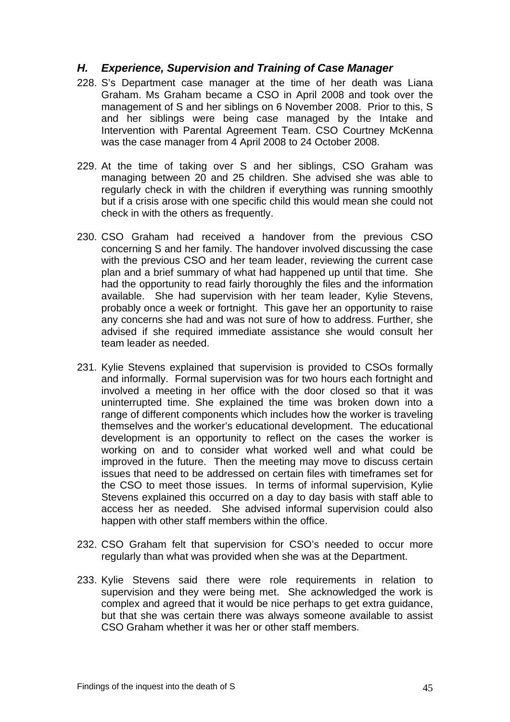## *H. Experience, Supervision and Training of Case Manager*

- 228. S's Department case manager at the time of her death was Liana Graham. Ms Graham became a CSO in April 2008 and took over the management of S and her siblings on 6 November 2008. Prior to this, S and her siblings were being case managed by the Intake and Intervention with Parental Agreement Team. CSO Courtney McKenna was the case manager from 4 April 2008 to 24 October 2008.
- 229. At the time of taking over S and her siblings, CSO Graham was managing between 20 and 25 children. She advised she was able to regularly check in with the children if everything was running smoothly but if a crisis arose with one specific child this would mean she could not check in with the others as frequently.
- 230. CSO Graham had received a handover from the previous CSO concerning S and her family. The handover involved discussing the case with the previous CSO and her team leader, reviewing the current case plan and a brief summary of what had happened up until that time. She had the opportunity to read fairly thoroughly the files and the information available. She had supervision with her team leader, Kylie Stevens, probably once a week or fortnight. This gave her an opportunity to raise any concerns she had and was not sure of how to address. Further, she advised if she required immediate assistance she would consult her team leader as needed.
- 231. Kylie Stevens explained that supervision is provided to CSOs formally and informally. Formal supervision was for two hours each fortnight and involved a meeting in her office with the door closed so that it was uninterrupted time. She explained the time was broken down into a range of different components which includes how the worker is traveling themselves and the worker's educational development. The educational development is an opportunity to reflect on the cases the worker is working on and to consider what worked well and what could be improved in the future. Then the meeting may move to discuss certain issues that need to be addressed on certain files with timeframes set for the CSO to meet those issues. In terms of informal supervision, Kylie Stevens explained this occurred on a day to day basis with staff able to access her as needed. She advised informal supervision could also happen with other staff members within the office.
- 232. CSO Graham felt that supervision for CSO's needed to occur more regularly than what was provided when she was at the Department.
- 233. Kylie Stevens said there were role requirements in relation to supervision and they were being met. She acknowledged the work is complex and agreed that it would be nice perhaps to get extra guidance, but that she was certain there was always someone available to assist CSO Graham whether it was her or other staff members.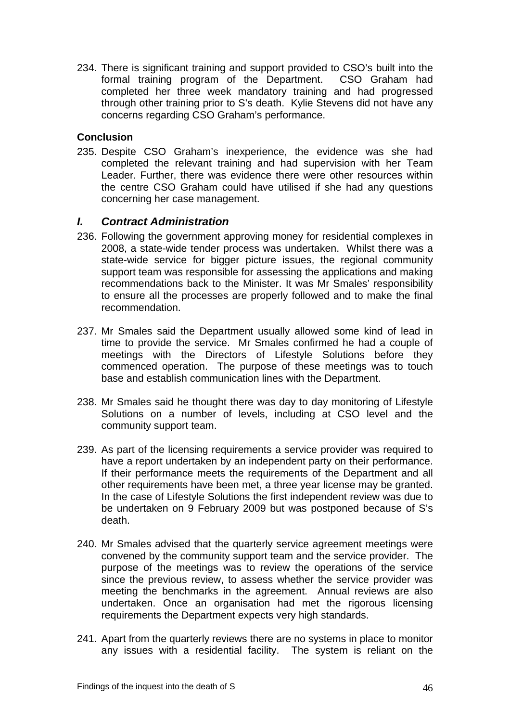234. There is significant training and support provided to CSO's built into the formal training program of the Department. CSO Graham had completed her three week mandatory training and had progressed through other training prior to S's death. Kylie Stevens did not have any concerns regarding CSO Graham's performance.

## **Conclusion**

235. Despite CSO Graham's inexperience, the evidence was she had completed the relevant training and had supervision with her Team Leader. Further, there was evidence there were other resources within the centre CSO Graham could have utilised if she had any questions concerning her case management.

# *I. Contract Administration*

- 236. Following the government approving money for residential complexes in 2008, a state-wide tender process was undertaken. Whilst there was a state-wide service for bigger picture issues, the regional community support team was responsible for assessing the applications and making recommendations back to the Minister. It was Mr Smales' responsibility to ensure all the processes are properly followed and to make the final recommendation.
- 237. Mr Smales said the Department usually allowed some kind of lead in time to provide the service. Mr Smales confirmed he had a couple of meetings with the Directors of Lifestyle Solutions before they commenced operation. The purpose of these meetings was to touch base and establish communication lines with the Department.
- 238. Mr Smales said he thought there was day to day monitoring of Lifestyle Solutions on a number of levels, including at CSO level and the community support team.
- 239. As part of the licensing requirements a service provider was required to have a report undertaken by an independent party on their performance. If their performance meets the requirements of the Department and all other requirements have been met, a three year license may be granted. In the case of Lifestyle Solutions the first independent review was due to be undertaken on 9 February 2009 but was postponed because of S's death.
- 240. Mr Smales advised that the quarterly service agreement meetings were convened by the community support team and the service provider. The purpose of the meetings was to review the operations of the service since the previous review, to assess whether the service provider was meeting the benchmarks in the agreement. Annual reviews are also undertaken. Once an organisation had met the rigorous licensing requirements the Department expects very high standards.
- 241. Apart from the quarterly reviews there are no systems in place to monitor any issues with a residential facility. The system is reliant on the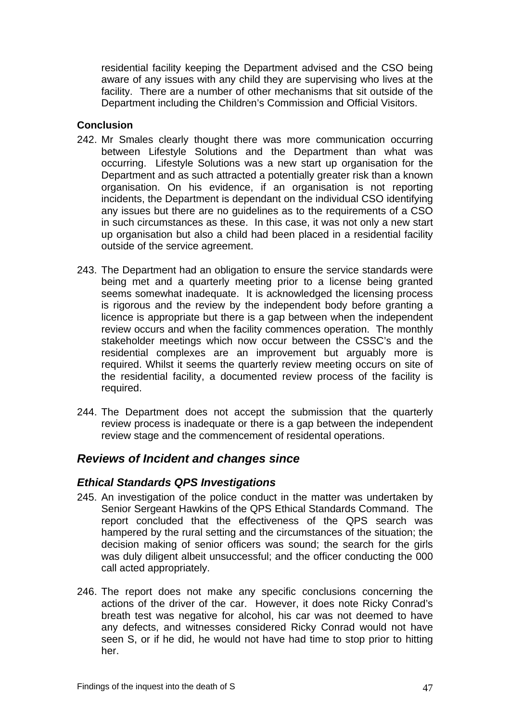residential facility keeping the Department advised and the CSO being aware of any issues with any child they are supervising who lives at the facility. There are a number of other mechanisms that sit outside of the Department including the Children's Commission and Official Visitors.

### **Conclusion**

- 242. Mr Smales clearly thought there was more communication occurring between Lifestyle Solutions and the Department than what was occurring. Lifestyle Solutions was a new start up organisation for the Department and as such attracted a potentially greater risk than a known organisation. On his evidence, if an organisation is not reporting incidents, the Department is dependant on the individual CSO identifying any issues but there are no guidelines as to the requirements of a CSO in such circumstances as these. In this case, it was not only a new start up organisation but also a child had been placed in a residential facility outside of the service agreement.
- 243. The Department had an obligation to ensure the service standards were being met and a quarterly meeting prior to a license being granted seems somewhat inadequate. It is acknowledged the licensing process is rigorous and the review by the independent body before granting a licence is appropriate but there is a gap between when the independent review occurs and when the facility commences operation. The monthly stakeholder meetings which now occur between the CSSC's and the residential complexes are an improvement but arguably more is required. Whilst it seems the quarterly review meeting occurs on site of the residential facility, a documented review process of the facility is required.
- 244. The Department does not accept the submission that the quarterly review process is inadequate or there is a gap between the independent review stage and the commencement of residental operations.

# *Reviews of Incident and changes since*

### *Ethical Standards QPS Investigations*

- 245. An investigation of the police conduct in the matter was undertaken by Senior Sergeant Hawkins of the QPS Ethical Standards Command. The report concluded that the effectiveness of the QPS search was hampered by the rural setting and the circumstances of the situation; the decision making of senior officers was sound; the search for the girls was duly diligent albeit unsuccessful; and the officer conducting the 000 call acted appropriately.
- 246. The report does not make any specific conclusions concerning the actions of the driver of the car. However, it does note Ricky Conrad's breath test was negative for alcohol, his car was not deemed to have any defects, and witnesses considered Ricky Conrad would not have seen S, or if he did, he would not have had time to stop prior to hitting her.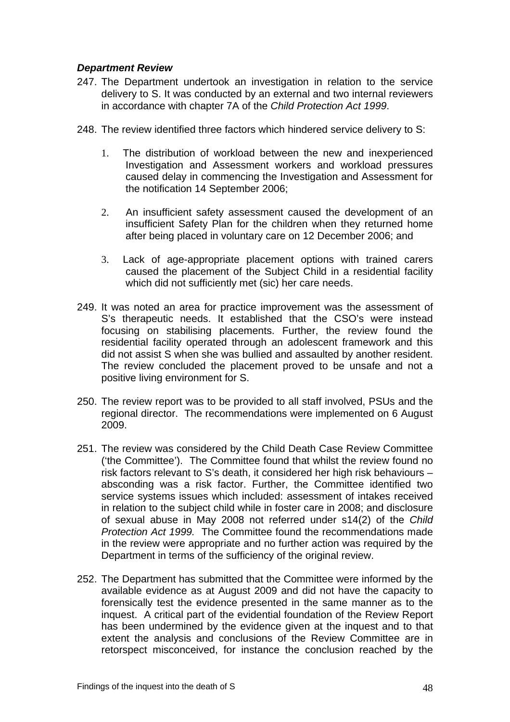### *Department Review*

- 247. The Department undertook an investigation in relation to the service delivery to S. It was conducted by an external and two internal reviewers in accordance with chapter 7A of the *Child Protection Act 1999*.
- 248. The review identified three factors which hindered service delivery to S:
	- 1. The distribution of workload between the new and inexperienced Investigation and Assessment workers and workload pressures caused delay in commencing the Investigation and Assessment for the notification 14 September 2006;
	- 2. An insufficient safety assessment caused the development of an insufficient Safety Plan for the children when they returned home after being placed in voluntary care on 12 December 2006; and
	- 3. Lack of age-appropriate placement options with trained carers caused the placement of the Subject Child in a residential facility which did not sufficiently met (sic) her care needs.
- 249. It was noted an area for practice improvement was the assessment of S's therapeutic needs. It established that the CSO's were instead focusing on stabilising placements. Further, the review found the residential facility operated through an adolescent framework and this did not assist S when she was bullied and assaulted by another resident. The review concluded the placement proved to be unsafe and not a positive living environment for S.
- 250. The review report was to be provided to all staff involved, PSUs and the regional director. The recommendations were implemented on 6 August 2009.
- 251. The review was considered by the Child Death Case Review Committee ('the Committee'). The Committee found that whilst the review found no risk factors relevant to S's death, it considered her high risk behaviours – absconding was a risk factor. Further, the Committee identified two service systems issues which included: assessment of intakes received in relation to the subject child while in foster care in 2008; and disclosure of sexual abuse in May 2008 not referred under s14(2) of the *Child Protection Act 1999.* The Committee found the recommendations made in the review were appropriate and no further action was required by the Department in terms of the sufficiency of the original review.
- 252. The Department has submitted that the Committee were informed by the available evidence as at August 2009 and did not have the capacity to forensically test the evidence presented in the same manner as to the inquest. A critical part of the evidential foundation of the Review Report has been undermined by the evidence given at the inquest and to that extent the analysis and conclusions of the Review Committee are in retorspect misconceived, for instance the conclusion reached by the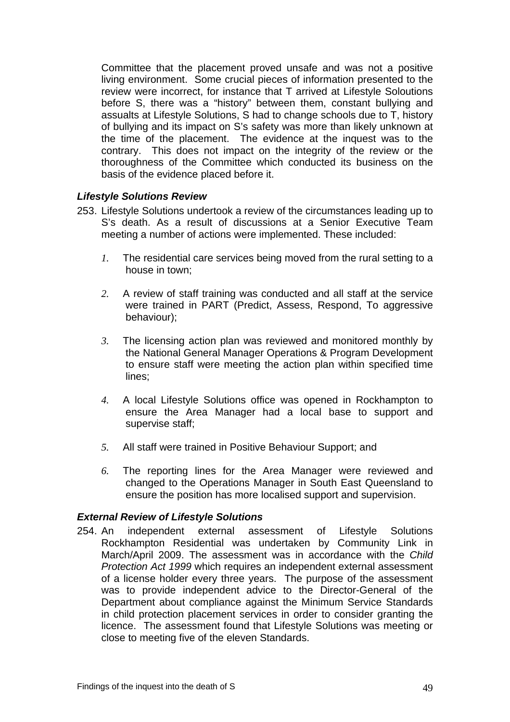Committee that the placement proved unsafe and was not a positive living environment. Some crucial pieces of information presented to the review were incorrect, for instance that T arrived at Lifestyle Soloutions before S, there was a "history" between them, constant bullying and assualts at Lifestyle Solutions, S had to change schools due to T, history of bullying and its impact on S's safety was more than likely unknown at the time of the placement. The evidence at the inquest was to the contrary. This does not impact on the integrity of the review or the thoroughness of the Committee which conducted its business on the basis of the evidence placed before it.

### *Lifestyle Solutions Review*

- 253. Lifestyle Solutions undertook a review of the circumstances leading up to S's death. As a result of discussions at a Senior Executive Team meeting a number of actions were implemented. These included:
	- *1.* The residential care services being moved from the rural setting to a house in town;
	- *2.* A review of staff training was conducted and all staff at the service were trained in PART (Predict, Assess, Respond, To aggressive behaviour);
	- *3.* The licensing action plan was reviewed and monitored monthly by the National General Manager Operations & Program Development to ensure staff were meeting the action plan within specified time lines;
	- *4.* A local Lifestyle Solutions office was opened in Rockhampton to ensure the Area Manager had a local base to support and supervise staff;
	- *5.* All staff were trained in Positive Behaviour Support; and
	- *6.* The reporting lines for the Area Manager were reviewed and changed to the Operations Manager in South East Queensland to ensure the position has more localised support and supervision.

#### *External Review of Lifestyle Solutions*

254. An independent external assessment of Lifestyle Solutions Rockhampton Residential was undertaken by Community Link in March/April 2009. The assessment was in accordance with the *Child Protection Act 1999* which requires an independent external assessment of a license holder every three years. The purpose of the assessment was to provide independent advice to the Director-General of the Department about compliance against the Minimum Service Standards in child protection placement services in order to consider granting the licence. The assessment found that Lifestyle Solutions was meeting or close to meeting five of the eleven Standards.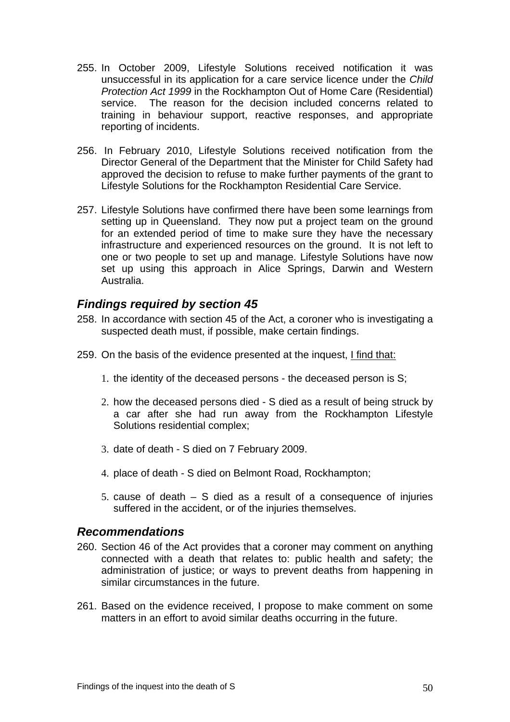- 255. In October 2009, Lifestyle Solutions received notification it was unsuccessful in its application for a care service licence under the *Child Protection Act 1999* in the Rockhampton Out of Home Care (Residential) service. The reason for the decision included concerns related to training in behaviour support, reactive responses, and appropriate reporting of incidents.
- 256. In February 2010, Lifestyle Solutions received notification from the Director General of the Department that the Minister for Child Safety had approved the decision to refuse to make further payments of the grant to Lifestyle Solutions for the Rockhampton Residential Care Service.
- 257. Lifestyle Solutions have confirmed there have been some learnings from setting up in Queensland. They now put a project team on the ground for an extended period of time to make sure they have the necessary infrastructure and experienced resources on the ground. It is not left to one or two people to set up and manage. Lifestyle Solutions have now set up using this approach in Alice Springs, Darwin and Western Australia.

# *Findings required by section 45*

- 258. In accordance with section 45 of the Act, a coroner who is investigating a suspected death must, if possible, make certain findings.
- 259. On the basis of the evidence presented at the inquest, I find that:
	- 1. the identity of the deceased persons the deceased person is S;
	- 2. how the deceased persons died S died as a result of being struck by a car after she had run away from the Rockhampton Lifestyle Solutions residential complex;
	- 3. date of death S died on 7 February 2009.
	- 4. place of death S died on Belmont Road, Rockhampton;
	- 5. cause of death S died as a result of a consequence of injuries suffered in the accident, or of the injuries themselves.

### *Recommendations*

- 260. Section 46 of the Act provides that a coroner may comment on anything connected with a death that relates to: public health and safety; the administration of justice; or ways to prevent deaths from happening in similar circumstances in the future.
- 261. Based on the evidence received, I propose to make comment on some matters in an effort to avoid similar deaths occurring in the future.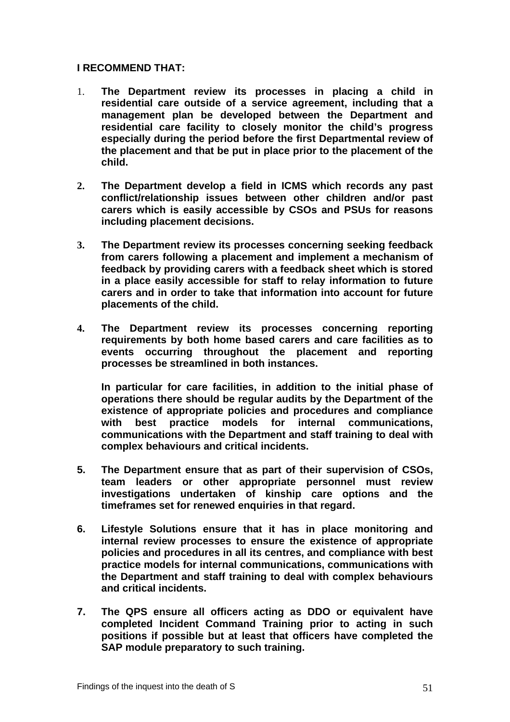### **I RECOMMEND THAT:**

- 1. **The Department review its processes in placing a child in residential care outside of a service agreement, including that a management plan be developed between the Department and residential care facility to closely monitor the child's progress especially during the period before the first Departmental review of the placement and that be put in place prior to the placement of the child.**
- **2. The Department develop a field in ICMS which records any past conflict/relationship issues between other children and/or past carers which is easily accessible by CSOs and PSUs for reasons including placement decisions.**
- **3. The Department review its processes concerning seeking feedback from carers following a placement and implement a mechanism of feedback by providing carers with a feedback sheet which is stored in a place easily accessible for staff to relay information to future carers and in order to take that information into account for future placements of the child.**
- **4. The Department review its processes concerning reporting requirements by both home based carers and care facilities as to events occurring throughout the placement and reporting processes be streamlined in both instances.**

**In particular for care facilities, in addition to the initial phase of operations there should be regular audits by the Department of the existence of appropriate policies and procedures and compliance with best practice models for internal communications, communications with the Department and staff training to deal with complex behaviours and critical incidents.** 

- **5. The Department ensure that as part of their supervision of CSOs, team leaders or other appropriate personnel must review investigations undertaken of kinship care options and the timeframes set for renewed enquiries in that regard.**
- **6. Lifestyle Solutions ensure that it has in place monitoring and internal review processes to ensure the existence of appropriate policies and procedures in all its centres, and compliance with best practice models for internal communications, communications with the Department and staff training to deal with complex behaviours and critical incidents.**
- **7. The QPS ensure all officers acting as DDO or equivalent have completed Incident Command Training prior to acting in such positions if possible but at least that officers have completed the SAP module preparatory to such training.**